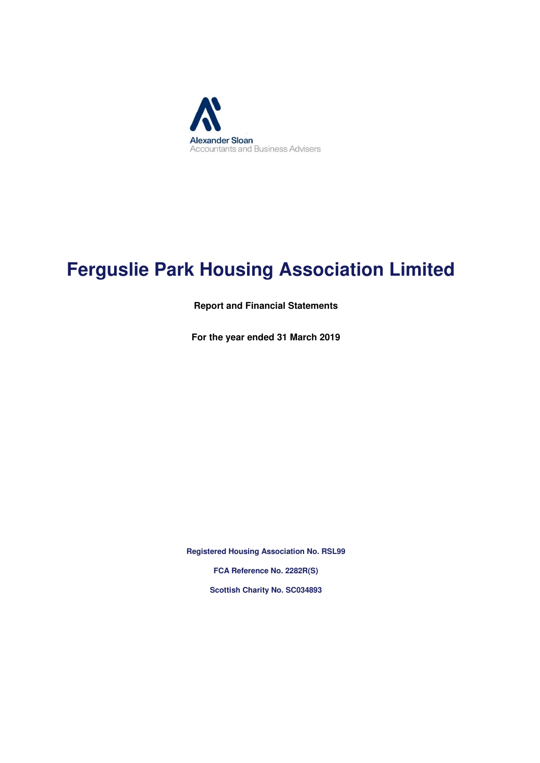

# **Ferguslie Park Housing Association Limited**

**Report and Financial Statements**

**For the year ended 31 March 2019**

**Registered Housing Association No. RSL99 FCA Reference No. 2282R(S) Scottish Charity No. SC034893**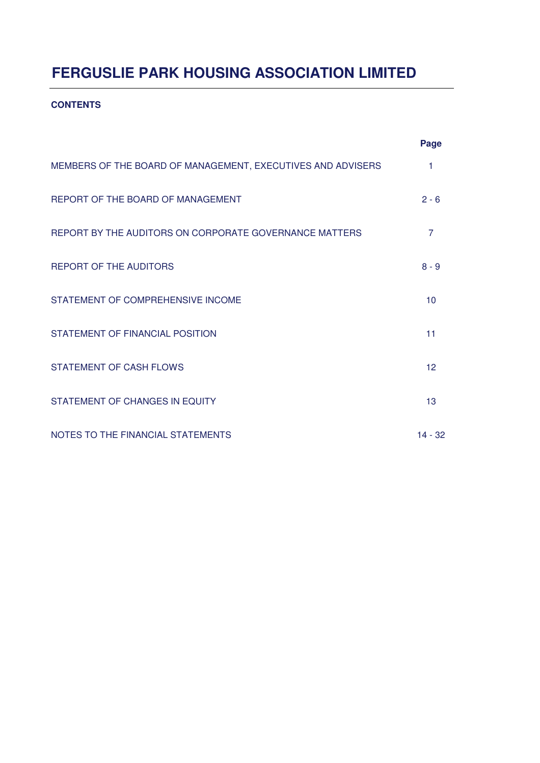#### **CONTENTS**

|                                                             | Page           |
|-------------------------------------------------------------|----------------|
| MEMBERS OF THE BOARD OF MANAGEMENT, EXECUTIVES AND ADVISERS | 1              |
| REPORT OF THE BOARD OF MANAGEMENT                           | $2 - 6$        |
| REPORT BY THE AUDITORS ON CORPORATE GOVERNANCE MATTERS      | $\overline{7}$ |
| <b>REPORT OF THE AUDITORS</b>                               | $8 - 9$        |
| STATEMENT OF COMPREHENSIVE INCOME                           | 10             |
| STATEMENT OF FINANCIAL POSITION                             | 11             |
| <b>STATEMENT OF CASH FLOWS</b>                              | 12             |
| STATEMENT OF CHANGES IN EQUITY                              | 13             |
| NOTES TO THE FINANCIAL STATEMENTS                           | $14 - 32$      |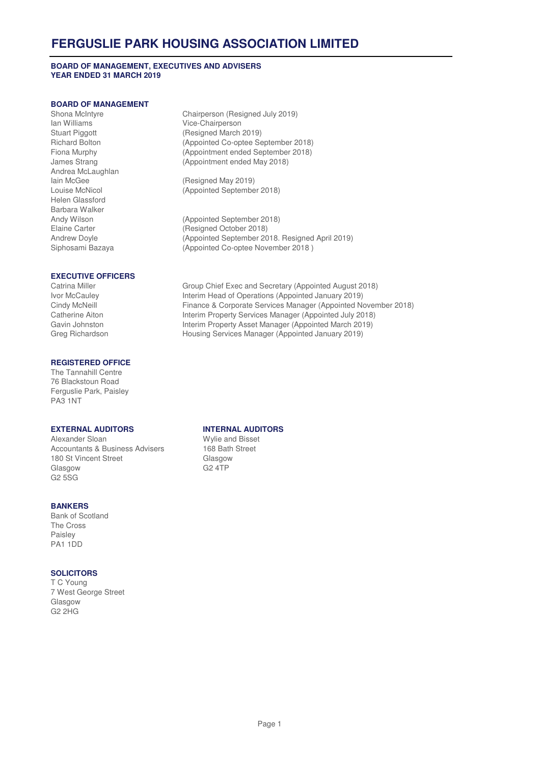#### **BOARD OF MANAGEMENT, EXECUTIVES AND ADVISERS YEAR ENDED 31 MARCH 2019**

#### **BOARD OF MANAGEMENT**

Ian Williams **Vice-Chairperson**<br>
Stuart Piggott **Vice-Chairperson**<br>
(Resigned March Andrea McLaughlan Helen Glassford Barbara Walker

# **EXECUTIVE OFFICERS**

#### **REGISTERED OFFICE**

The Tannahill Centre 76 Blackstoun Road Ferguslie Park, Paisley PA3 1NT

Alexander Sloan Wylie and Bisset Accountants & Business Advisers 168 Bath Street 180 St Vincent Street Glasgow Glasgow G2 4TP G2 5SG

#### **BANKERS**

Bank of Scotland The Cross Paisley PA1 1DD

#### **SOLICITORS**

T C Young 7 West George Street Glasgow G2 2HG

Shona McIntyre **Chairperson (Resigned July 2019)**<br>
Ian Williams **Chairperson** Vice-Chairperson (Resigned March 2019) Richard Bolton (Appointed Co-optee September 2018) Fiona Murphy (Appointment ended September 2018) James Strang (Appointment ended May 2018)

Iain McGee (Resigned May 2019)<br>
Louise McNicol (Appointed Septembe (Appointed September 2018)

Andy Wilson (Appointed September 2018) Elaine Carter (Resigned October 2018) Andrew Doyle (Appointed September 2018. Resigned April 2019) Siphosami Bazaya (Appointed Co-optee November 2018 )

Catrina Miller Group Chief Exec and Secretary (Appointed August 2018)<br>
Ivor McCaulev Interim Head of Operations (Appointed January 2019) Interim Head of Operations (Appointed January 2019) Cindy McNeill Finance & Corporate Services Manager (Appointed November 2018) Catherine Aiton **Interim Property Services Manager (Appointed July 2018)**<br>Gavin Johnston **Interim Property Asset Manager (Appointed March 2019)** Interim Property Asset Manager (Appointed March 2019) Greg Richardson Housing Services Manager (Appointed January 2019)

#### **EXTERNAL AUDITORS INTERNAL AUDITORS**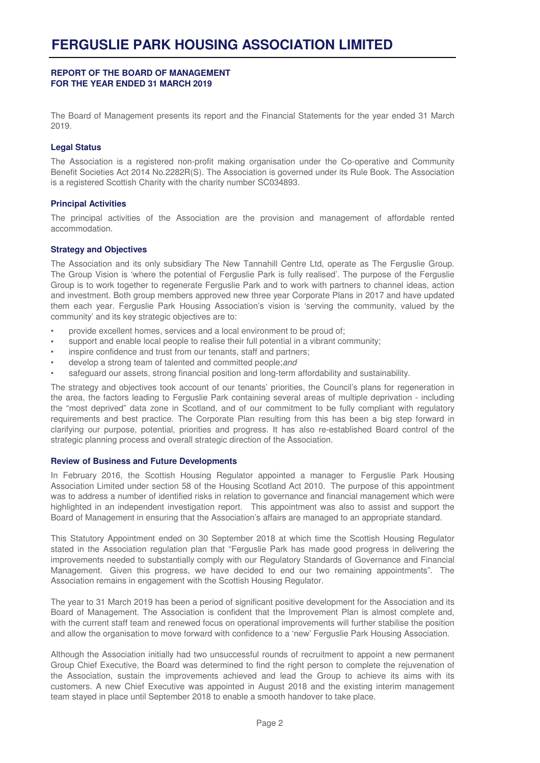The Board of Management presents its report and the Financial Statements for the year ended 31 March 2019.

#### **Legal Status**

The Association is a registered non-profit making organisation under the Co-operative and Community Benefit Societies Act 2014 No.2282R(S). The Association is governed under its Rule Book. The Association is a registered Scottish Charity with the charity number SC034893.

#### **Principal Activities**

The principal activities of the Association are the provision and management of affordable rented accommodation.

#### **Strategy and Objectives**

The Association and its only subsidiary The New Tannahill Centre Ltd, operate as The Ferguslie Group. The Group Vision is 'where the potential of Ferguslie Park is fully realised'. The purpose of the Ferguslie Group is to work together to regenerate Ferguslie Park and to work with partners to channel ideas, action and investment. Both group members approved new three year Corporate Plans in 2017 and have updated them each year. Ferguslie Park Housing Association's vision is 'serving the community, valued by the community' and its key strategic objectives are to:

- provide excellent homes, services and a local environment to be proud of;
- support and enable local people to realise their full potential in a vibrant community;
- inspire confidence and trust from our tenants, staff and partners;
- develop a strong team of talented and committed people;and
- safeguard our assets, strong financial position and long-term affordability and sustainability.

The strategy and objectives took account of our tenants' priorities, the Council's plans for regeneration in the area, the factors leading to Ferguslie Park containing several areas of multiple deprivation - including the "most deprived" data zone in Scotland, and of our commitment to be fully compliant with regulatory requirements and best practice. The Corporate Plan resulting from this has been a big step forward in clarifying our purpose, potential, priorities and progress. It has also re-established Board control of the strategic planning process and overall strategic direction of the Association.

#### **Review of Business and Future Developments**

In February 2016, the Scottish Housing Regulator appointed a manager to Ferguslie Park Housing Association Limited under section 58 of the Housing Scotland Act 2010. The purpose of this appointment was to address a number of identified risks in relation to governance and financial management which were highlighted in an independent investigation report. This appointment was also to assist and support the Board of Management in ensuring that the Association's affairs are managed to an appropriate standard.

This Statutory Appointment ended on 30 September 2018 at which time the Scottish Housing Regulator stated in the Association regulation plan that "Ferguslie Park has made good progress in delivering the improvements needed to substantially comply with our Regulatory Standards of Governance and Financial Management. Given this progress, we have decided to end our two remaining appointments". The Association remains in engagement with the Scottish Housing Regulator.

The year to 31 March 2019 has been a period of significant positive development for the Association and its Board of Management. The Association is confident that the Improvement Plan is almost complete and, with the current staff team and renewed focus on operational improvements will further stabilise the position and allow the organisation to move forward with confidence to a 'new' Ferguslie Park Housing Association.

Although the Association initially had two unsuccessful rounds of recruitment to appoint a new permanent Group Chief Executive, the Board was determined to find the right person to complete the rejuvenation of the Association, sustain the improvements achieved and lead the Group to achieve its aims with its customers. A new Chief Executive was appointed in August 2018 and the existing interim management team stayed in place until September 2018 to enable a smooth handover to take place.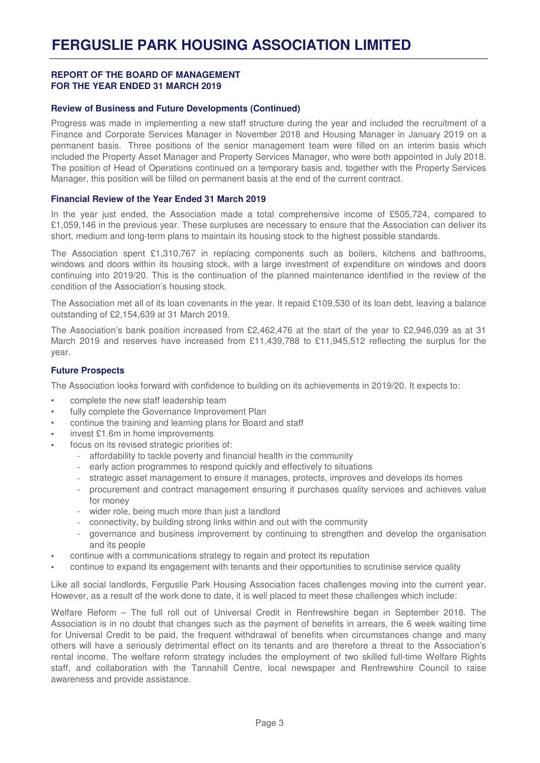#### **Review of Business and Future Developments (Continued)**

Progress was made in implementing a new staff structure during the year and included the recruitment of a Finance and Corporate Services Manager in November 2018 and Housing Manager in January 2019 on a permanent basis. Three positions of the senior management team were filled on an interim basis which included the Property Asset Manager and Property Services Manager, who were both appointed in July 2018. The position of Head of Operations continued on a temporary basis and, together with the Property Services Manager, this position will be filled on permanent basis at the end of the current contract.

#### **Financial Review of the Year Ended 31 March 2019**

In the vear iust ended, the Association made a total comprehensive income of £505,724, compared to £1,059,146 in the previous year. These surpluses are necessary to ensure that the Association can deliver its short, medium and long-term plans to maintain its housing stock to the highest possible standards.

The Association spent £1,310,767 in replacing components such as boilers, kitchens and bathrooms, windows and doors within its housing stock, with a large investment of expenditure on windows and doors continuing into 2019/20. This is the continuation of the planned maintenance identified in the review of the condition of the Association's housing stock.

The Association met all of its loan covenants in the year. It repaid £109,530 of its loan debt, leaving a balance outstanding of £2,154,639 at 31 March 2019.

The Association's bank position increased from £2,462,476 at the start of the year to £2,946,039 as at 31 March 2019 and reserves have increased from £11,439,788 to £11,945,512 reflecting the surplus for the year.

#### **Future Prospects**

The Association looks forward with confidence to building on its achievements in 2019/20. It expects to:

- complete the new staff leadership team
- fully complete the Governance Improvement Plan
- continue the training and learning plans for Board and staff
- invest £1.6m in home improvements
- focus on its revised strategic priorities of:
	- affordability to tackle poverty and financial health in the community
	- early action programmes to respond quickly and effectively to situations
	- strategic asset management to ensure it manages, protects, improves and develops its homes
	- procurement and contract management ensuring it purchases quality services and achieves value for money
	- wider role, being much more than just a landlord
	- connectivity, by building strong links within and out with the community
	- governance and business improvement by continuing to strengthen and develop the organisation and its people
- continue with a communications strategy to regain and protect its reputation
- continue to expand its engagement with tenants and their opportunities to scrutinise service quality

Like all social landlords, Ferguslie Park Housing Association faces challenges moving into the current year. However, as a result of the work done to date, it is well placed to meet these challenges which include:

Welfare Reform – The full roll out of Universal Credit in Renfrewshire began in September 2018. The Association is in no doubt that changes such as the payment of benefits in arrears, the 6 week waiting time for Universal Credit to be paid, the frequent withdrawal of benefits when circumstances change and many others will have a seriously detrimental effect on its tenants and are therefore a threat to the Association's rental income. The welfare reform strategy includes the employment of two skilled full-time Welfare Rights staff, and collaboration with the Tannahill Centre, local newspaper and Renfrewshire Council to raise awareness and provide assistance.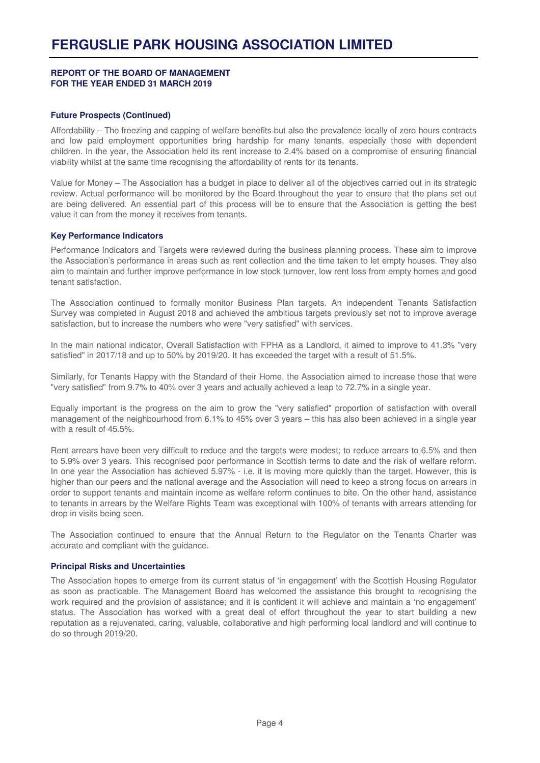#### **Future Prospects (Continued)**

Affordability – The freezing and capping of welfare benefits but also the prevalence locally of zero hours contracts and low paid employment opportunities bring hardship for many tenants, especially those with dependent children. In the year, the Association held its rent increase to 2.4% based on a compromise of ensuring financial viability whilst at the same time recognising the affordability of rents for its tenants.

Value for Money – The Association has a budget in place to deliver all of the objectives carried out in its strategic review. Actual performance will be monitored by the Board throughout the year to ensure that the plans set out are being delivered. An essential part of this process will be to ensure that the Association is getting the best value it can from the money it receives from tenants.

#### **Key Performance Indicators**

Performance Indicators and Targets were reviewed during the business planning process. These aim to improve the Association's performance in areas such as rent collection and the time taken to let empty houses. They also aim to maintain and further improve performance in low stock turnover, low rent loss from empty homes and good tenant satisfaction.

The Association continued to formally monitor Business Plan targets. An independent Tenants Satisfaction Survey was completed in August 2018 and achieved the ambitious targets previously set not to improve average satisfaction, but to increase the numbers who were "very satisfied" with services.

In the main national indicator, Overall Satisfaction with FPHA as a Landlord, it aimed to improve to 41.3% "very satisfied" in 2017/18 and up to 50% by 2019/20. It has exceeded the target with a result of 51.5%.

Similarly, for Tenants Happy with the Standard of their Home, the Association aimed to increase those that were "very satisfied" from 9.7% to 40% over 3 years and actually achieved a leap to 72.7% in a single year.

Equally important is the progress on the aim to grow the "very satisfied" proportion of satisfaction with overall management of the neighbourhood from 6.1% to 45% over 3 years – this has also been achieved in a single year with a result of 45.5%.

Rent arrears have been very difficult to reduce and the targets were modest; to reduce arrears to 6.5% and then to 5.9% over 3 years. This recognised poor performance in Scottish terms to date and the risk of welfare reform. In one year the Association has achieved 5.97% - i.e. it is moving more quickly than the target. However, this is higher than our peers and the national average and the Association will need to keep a strong focus on arrears in order to support tenants and maintain income as welfare reform continues to bite. On the other hand, assistance to tenants in arrears by the Welfare Rights Team was exceptional with 100% of tenants with arrears attending for drop in visits being seen.

The Association continued to ensure that the Annual Return to the Regulator on the Tenants Charter was accurate and compliant with the guidance.

#### **Principal Risks and Uncertainties**

The Association hopes to emerge from its current status of 'in engagement' with the Scottish Housing Regulator as soon as practicable. The Management Board has welcomed the assistance this brought to recognising the work required and the provision of assistance; and it is confident it will achieve and maintain a 'no engagement' status. The Association has worked with a great deal of effort throughout the year to start building a new reputation as a rejuvenated, caring, valuable, collaborative and high performing local landlord and will continue to do so through 2019/20.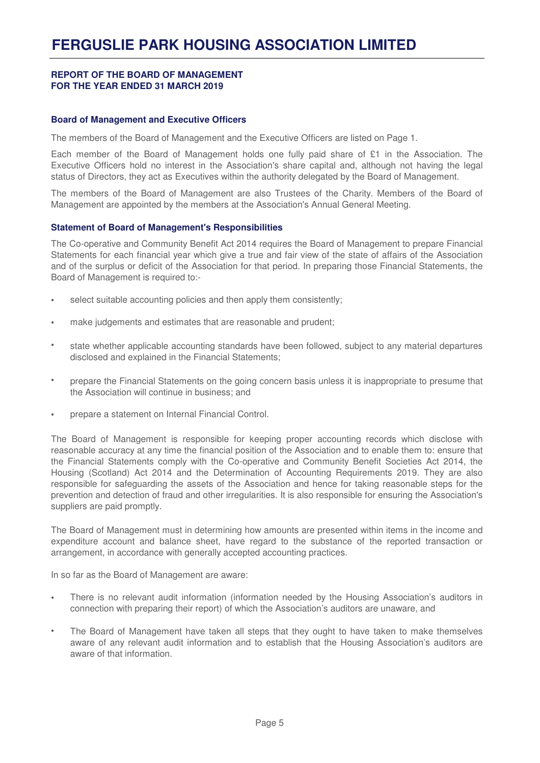#### **Board of Management and Executive Officers**

The members of the Board of Management and the Executive Officers are listed on Page 1.

Each member of the Board of Management holds one fully paid share of £1 in the Association. The Executive Officers hold no interest in the Association's share capital and, although not having the legal status of Directors, they act as Executives within the authority delegated by the Board of Management.

The members of the Board of Management are also Trustees of the Charity. Members of the Board of Management are appointed by the members at the Association's Annual General Meeting.

#### **Statement of Board of Management's Responsibilities**

The Co-operative and Community Benefit Act 2014 requires the Board of Management to prepare Financial Statements for each financial year which give a true and fair view of the state of affairs of the Association and of the surplus or deficit of the Association for that period. In preparing those Financial Statements, the Board of Management is required to:-

- select suitable accounting policies and then apply them consistently;
- make judgements and estimates that are reasonable and prudent;
- state whether applicable accounting standards have been followed, subject to any material departures disclosed and explained in the Financial Statements;
- prepare the Financial Statements on the going concern basis unless it is inappropriate to presume that the Association will continue in business; and
- prepare a statement on Internal Financial Control.

The Board of Management is responsible for keeping proper accounting records which disclose with reasonable accuracy at any time the financial position of the Association and to enable them to: ensure that the Financial Statements comply with the Co-operative and Community Benefit Societies Act 2014, the Housing (Scotland) Act 2014 and the Determination of Accounting Requirements 2019. They are also responsible for safeguarding the assets of the Association and hence for taking reasonable steps for the prevention and detection of fraud and other irregularities. It is also responsible for ensuring the Association's suppliers are paid promptly.

The Board of Management must in determining how amounts are presented within items in the income and expenditure account and balance sheet, have regard to the substance of the reported transaction or arrangement, in accordance with generally accepted accounting practices.

In so far as the Board of Management are aware:

- There is no relevant audit information (information needed by the Housing Association's auditors in connection with preparing their report) of which the Association's auditors are unaware, and
- The Board of Management have taken all steps that they ought to have taken to make themselves aware of any relevant audit information and to establish that the Housing Association's auditors are aware of that information.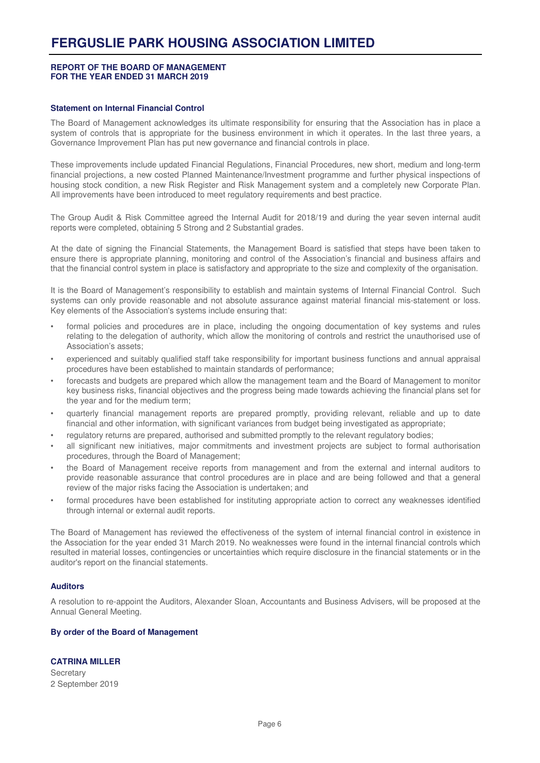#### **Statement on Internal Financial Control**

The Board of Management acknowledges its ultimate responsibility for ensuring that the Association has in place a system of controls that is appropriate for the business environment in which it operates. In the last three years, a Governance Improvement Plan has put new governance and financial controls in place.

These improvements include updated Financial Regulations, Financial Procedures, new short, medium and long-term financial projections, a new costed Planned Maintenance/Investment programme and further physical inspections of housing stock condition, a new Risk Register and Risk Management system and a completely new Corporate Plan. All improvements have been introduced to meet regulatory requirements and best practice.

The Group Audit & Risk Committee agreed the Internal Audit for 2018/19 and during the year seven internal audit reports were completed, obtaining 5 Strong and 2 Substantial grades.

At the date of signing the Financial Statements, the Management Board is satisfied that steps have been taken to ensure there is appropriate planning, monitoring and control of the Association's financial and business affairs and that the financial control system in place is satisfactory and appropriate to the size and complexity of the organisation.

It is the Board of Management's responsibility to establish and maintain systems of Internal Financial Control. Such systems can only provide reasonable and not absolute assurance against material financial mis-statement or loss. Key elements of the Association's systems include ensuring that:

- formal policies and procedures are in place, including the ongoing documentation of key systems and rules relating to the delegation of authority, which allow the monitoring of controls and restrict the unauthorised use of Association's assets;
- experienced and suitably qualified staff take responsibility for important business functions and annual appraisal procedures have been established to maintain standards of performance;
- forecasts and budgets are prepared which allow the management team and the Board of Management to monitor key business risks, financial objectives and the progress being made towards achieving the financial plans set for the year and for the medium term;
- quarterly financial management reports are prepared promptly, providing relevant, reliable and up to date financial and other information, with significant variances from budget being investigated as appropriate;
- regulatory returns are prepared, authorised and submitted promptly to the relevant regulatory bodies;
- all significant new initiatives, major commitments and investment projects are subject to formal authorisation procedures, through the Board of Management;
- the Board of Management receive reports from management and from the external and internal auditors to provide reasonable assurance that control procedures are in place and are being followed and that a general review of the major risks facing the Association is undertaken; and
- formal procedures have been established for instituting appropriate action to correct any weaknesses identified through internal or external audit reports.

The Board of Management has reviewed the effectiveness of the system of internal financial control in existence in the Association for the year ended 31 March 2019. No weaknesses were found in the internal financial controls which resulted in material losses, contingencies or uncertainties which require disclosure in the financial statements or in the auditor's report on the financial statements.

#### **Auditors**

A resolution to re-appoint the Auditors, Alexander Sloan, Accountants and Business Advisers, will be proposed at the Annual General Meeting.

#### **By order of the Board of Management**

#### **CATRINA MILLER**

**Secretary** 2 September 2019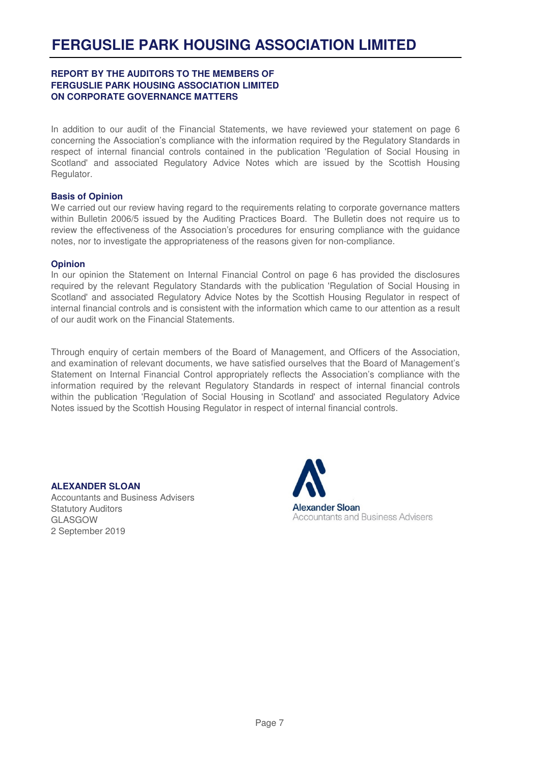#### **REPORT BY THE AUDITORS TO THE MEMBERS OF FERGUSLIE PARK HOUSING ASSOCIATION LIMITED ON CORPORATE GOVERNANCE MATTERS**

In addition to our audit of the Financial Statements, we have reviewed your statement on page 6 concerning the Association's compliance with the information required by the Regulatory Standards in respect of internal financial controls contained in the publication 'Regulation of Social Housing in Scotland' and associated Regulatory Advice Notes which are issued by the Scottish Housing Regulator.

#### **Basis of Opinion**

We carried out our review having regard to the requirements relating to corporate governance matters within Bulletin 2006/5 issued by the Auditing Practices Board. The Bulletin does not require us to review the effectiveness of the Association's procedures for ensuring compliance with the guidance notes, nor to investigate the appropriateness of the reasons given for non-compliance.

#### **Opinion**

In our opinion the Statement on Internal Financial Control on page 6 has provided the disclosures required by the relevant Regulatory Standards with the publication 'Regulation of Social Housing in Scotland' and associated Regulatory Advice Notes by the Scottish Housing Regulator in respect of internal financial controls and is consistent with the information which came to our attention as a result of our audit work on the Financial Statements.

Through enquiry of certain members of the Board of Management, and Officers of the Association, and examination of relevant documents, we have satisfied ourselves that the Board of Management's Statement on Internal Financial Control appropriately reflects the Association's compliance with the information required by the relevant Regulatory Standards in respect of internal financial controls within the publication 'Regulation of Social Housing in Scotland' and associated Regulatory Advice Notes issued by the Scottish Housing Regulator in respect of internal financial controls.

#### **ALEXANDER SLOAN**

Accountants and Business Advisers Statutory Auditors GLASGOW 2 September 2019

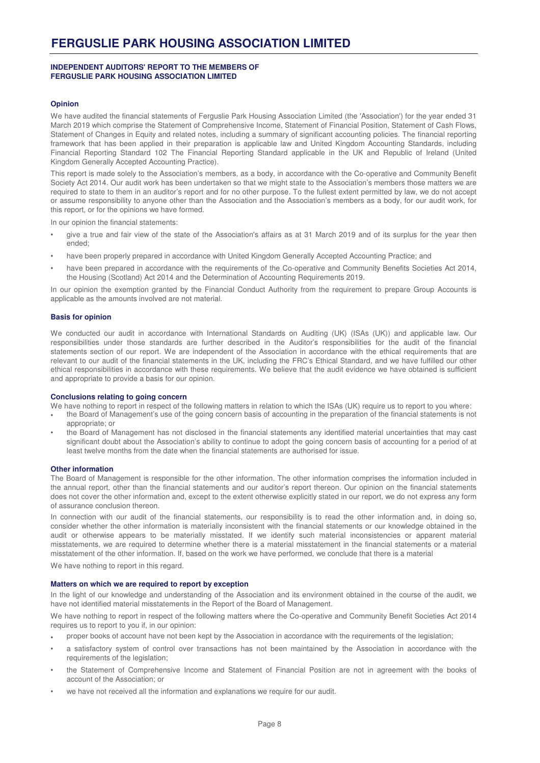#### **INDEPENDENT AUDITORS' REPORT TO THE MEMBERS OF FERGUSLIE PARK HOUSING ASSOCIATION LIMITED**

#### **Opinion**

We have audited the financial statements of Ferguslie Park Housing Association Limited (the 'Association') for the year ended 31 March 2019 which comprise the Statement of Comprehensive Income, Statement of Financial Position, Statement of Cash Flows, Statement of Changes in Equity and related notes, including a summary of significant accounting policies. The financial reporting framework that has been applied in their preparation is applicable law and United Kingdom Accounting Standards, including Financial Reporting Standard 102 The Financial Reporting Standard applicable in the UK and Republic of Ireland (United Kingdom Generally Accepted Accounting Practice).

This report is made solely to the Association's members, as a body, in accordance with the Co-operative and Community Benefit Society Act 2014. Our audit work has been undertaken so that we might state to the Association's members those matters we are required to state to them in an auditor's report and for no other purpose. To the fullest extent permitted by law, we do not accept or assume responsibility to anyone other than the Association and the Association's members as a body, for our audit work, for this report, or for the opinions we have formed.

In our opinion the financial statements:

- give a true and fair view of the state of the Association's affairs as at 31 March 2019 and of its surplus for the year then ended;
- have been properly prepared in accordance with United Kingdom Generally Accepted Accounting Practice; and
- have been prepared in accordance with the requirements of the Co-operative and Community Benefits Societies Act 2014, the Housing (Scotland) Act 2014 and the Determination of Accounting Requirements 2019.

In our opinion the exemption granted by the Financial Conduct Authority from the requirement to prepare Group Accounts is applicable as the amounts involved are not material.

#### **Basis for opinion**

We conducted our audit in accordance with International Standards on Auditing (UK) (ISAs (UK)) and applicable law. Our responsibilities under those standards are further described in the Auditor's responsibilities for the audit of the financial statements section of our report. We are independent of the Association in accordance with the ethical requirements that are relevant to our audit of the financial statements in the UK, including the FRC's Ethical Standard, and we have fulfilled our other ethical responsibilities in accordance with these requirements. We believe that the audit evidence we have obtained is sufficient and appropriate to provide a basis for our opinion.

#### **Conclusions relating to going concern**

We have nothing to report in respect of the following matters in relation to which the ISAs (UK) require us to report to you where:

- the Board of Management's use of the going concern basis of accounting in the preparation of the financial statements is not appropriate; or
- the Board of Management has not disclosed in the financial statements any identified material uncertainties that may cast significant doubt about the Association's ability to continue to adopt the going concern basis of accounting for a period of at least twelve months from the date when the financial statements are authorised for issue.

#### **Other information**

The Board of Management is responsible for the other information. The other information comprises the information included in the annual report, other than the financial statements and our auditor's report thereon. Our opinion on the financial statements does not cover the other information and, except to the extent otherwise explicitly stated in our report, we do not express any form of assurance conclusion thereon.

In connection with our audit of the financial statements, our responsibility is to read the other information and, in doing so, consider whether the other information is materially inconsistent with the financial statements or our knowledge obtained in the audit or otherwise appears to be materially misstated. If we identify such material inconsistencies or apparent material misstatements, we are required to determine whether there is a material misstatement in the financial statements or a material misstatement of the other information. If, based on the work we have performed, we conclude that there is a material

We have nothing to report in this regard.

#### **Matters on which we are required to report by exception**

In the light of our knowledge and understanding of the Association and its environment obtained in the course of the audit, we have not identified material misstatements in the Report of the Board of Management.

We have nothing to report in respect of the following matters where the Co-operative and Community Benefit Societies Act 2014 requires us to report to you if, in our opinion:

- proper books of account have not been kept by the Association in accordance with the requirements of the legislation;
- a satisfactory system of control over transactions has not been maintained by the Association in accordance with the requirements of the legislation;
- the Statement of Comprehensive Income and Statement of Financial Position are not in agreement with the books of account of the Association; or
- we have not received all the information and explanations we require for our audit.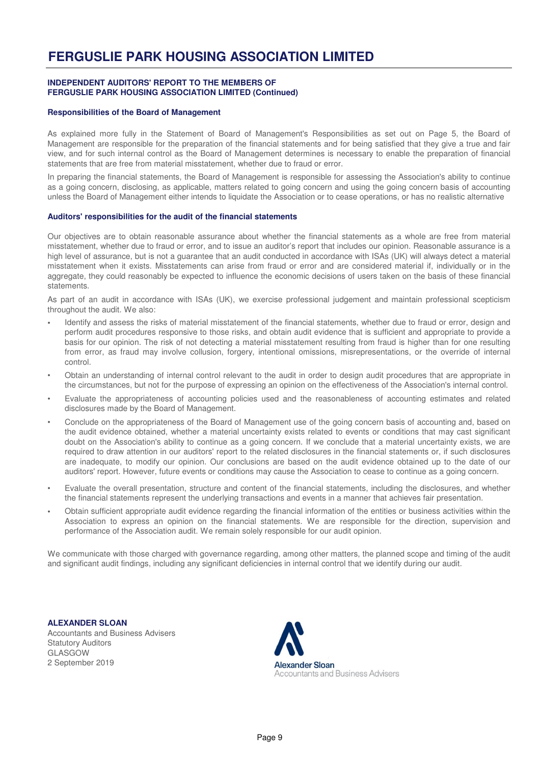#### **INDEPENDENT AUDITORS' REPORT TO THE MEMBERS OF FERGUSLIE PARK HOUSING ASSOCIATION LIMITED (Continued)**

#### **Responsibilities of the Board of Management**

As explained more fully in the Statement of Board of Management's Responsibilities as set out on Page 5, the Board of Management are responsible for the preparation of the financial statements and for being satisfied that they give a true and fair view, and for such internal control as the Board of Management determines is necessary to enable the preparation of financial statements that are free from material misstatement, whether due to fraud or error.

In preparing the financial statements, the Board of Management is responsible for assessing the Association's ability to continue as a going concern, disclosing, as applicable, matters related to going concern and using the going concern basis of accounting unless the Board of Management either intends to liquidate the Association or to cease operations, or has no realistic alternative

#### **Auditors' responsibilities for the audit of the financial statements**

Our objectives are to obtain reasonable assurance about whether the financial statements as a whole are free from material misstatement, whether due to fraud or error, and to issue an auditor's report that includes our opinion. Reasonable assurance is a high level of assurance, but is not a guarantee that an audit conducted in accordance with ISAs (UK) will always detect a material misstatement when it exists. Misstatements can arise from fraud or error and are considered material if, individually or in the aggregate, they could reasonably be expected to influence the economic decisions of users taken on the basis of these financial statements.

As part of an audit in accordance with ISAs (UK), we exercise professional judgement and maintain professional scepticism throughout the audit. We also:

- Identify and assess the risks of material misstatement of the financial statements, whether due to fraud or error, design and perform audit procedures responsive to those risks, and obtain audit evidence that is sufficient and appropriate to provide a basis for our opinion. The risk of not detecting a material misstatement resulting from fraud is higher than for one resulting from error, as fraud may involve collusion, forgery, intentional omissions, misrepresentations, or the override of internal control.
- Obtain an understanding of internal control relevant to the audit in order to design audit procedures that are appropriate in the circumstances, but not for the purpose of expressing an opinion on the effectiveness of the Association's internal control.
- Evaluate the appropriateness of accounting policies used and the reasonableness of accounting estimates and related disclosures made by the Board of Management.
- Conclude on the appropriateness of the Board of Management use of the going concern basis of accounting and, based on the audit evidence obtained, whether a material uncertainty exists related to events or conditions that may cast significant doubt on the Association's ability to continue as a going concern. If we conclude that a material uncertainty exists, we are required to draw attention in our auditors' report to the related disclosures in the financial statements or, if such disclosures are inadequate, to modify our opinion. Our conclusions are based on the audit evidence obtained up to the date of our auditors' report. However, future events or conditions may cause the Association to cease to continue as a going concern.
- Evaluate the overall presentation, structure and content of the financial statements, including the disclosures, and whether the financial statements represent the underlying transactions and events in a manner that achieves fair presentation.
- Obtain sufficient appropriate audit evidence regarding the financial information of the entities or business activities within the Association to express an opinion on the financial statements. We are responsible for the direction, supervision and performance of the Association audit. We remain solely responsible for our audit opinion.

We communicate with those charged with governance regarding, among other matters, the planned scope and timing of the audit and significant audit findings, including any significant deficiencies in internal control that we identify during our audit.

**ALEXANDER SLOAN** Accountants and Business Advisers Statutory Auditors GLASGOW 2 September 2019

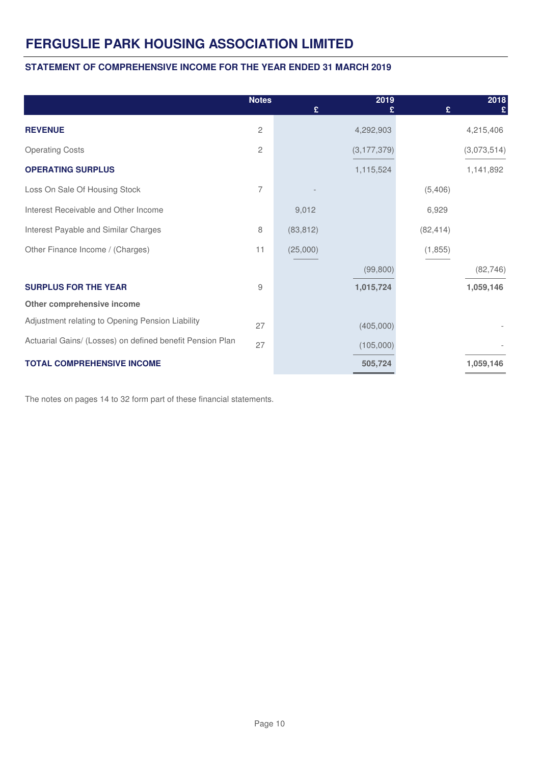### **STATEMENT OF COMPREHENSIVE INCOME FOR THE YEAR ENDED 31 MARCH 2019**

|                                                           | <b>Notes</b> | £         | 2019          | £         | 2018<br>£   |
|-----------------------------------------------------------|--------------|-----------|---------------|-----------|-------------|
| <b>REVENUE</b>                                            | 2            |           | 4,292,903     |           | 4,215,406   |
| <b>Operating Costs</b>                                    | 2            |           | (3, 177, 379) |           | (3,073,514) |
| <b>OPERATING SURPLUS</b>                                  |              |           | 1,115,524     |           | 1,141,892   |
| Loss On Sale Of Housing Stock                             | 7            |           |               | (5,406)   |             |
| Interest Receivable and Other Income                      |              | 9,012     |               | 6,929     |             |
| Interest Payable and Similar Charges                      | 8            | (83, 812) |               | (82, 414) |             |
| Other Finance Income / (Charges)                          | 11           | (25,000)  |               | (1,855)   |             |
|                                                           |              |           | (99, 800)     |           | (82, 746)   |
| <b>SURPLUS FOR THE YEAR</b>                               | 9            |           | 1,015,724     |           | 1,059,146   |
| Other comprehensive income                                |              |           |               |           |             |
| Adjustment relating to Opening Pension Liability          | 27           |           | (405,000)     |           |             |
| Actuarial Gains/ (Losses) on defined benefit Pension Plan | 27           |           | (105,000)     |           |             |
| <b>TOTAL COMPREHENSIVE INCOME</b>                         |              |           | 505,724       |           | 1,059,146   |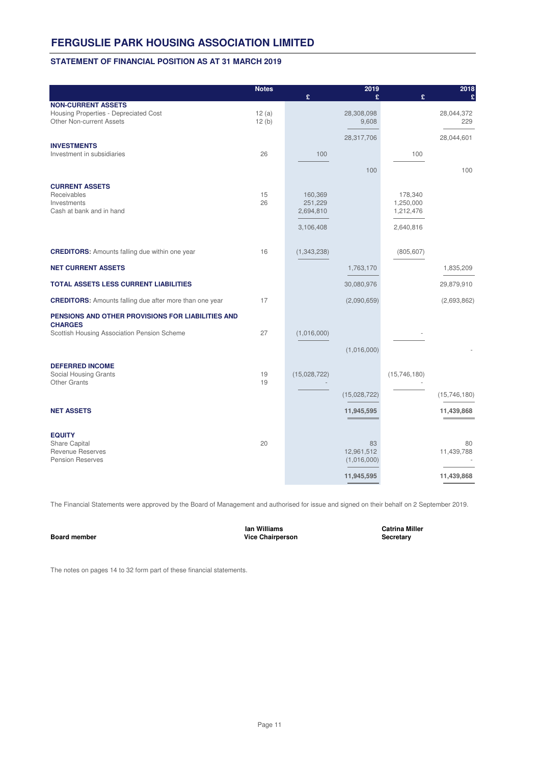#### **STATEMENT OF FINANCIAL POSITION AS AT 31 MARCH 2019**

|                                                                     | <b>Notes</b> |                    | 2019         |                      | 2018         |
|---------------------------------------------------------------------|--------------|--------------------|--------------|----------------------|--------------|
| <b>NON-CURRENT ASSETS</b>                                           |              | £                  | £            | £                    | £            |
| Housing Properties - Depreciated Cost                               | 12(a)        |                    | 28,308,098   |                      | 28,044,372   |
| <b>Other Non-current Assets</b>                                     | 12(b)        |                    | 9,608        |                      | 229          |
|                                                                     |              |                    | 28,317,706   |                      | 28,044,601   |
| <b>INVESTMENTS</b><br>Investment in subsidiaries                    | 26           | 100                |              | 100                  |              |
|                                                                     |              |                    |              |                      |              |
|                                                                     |              |                    | 100          |                      | 100          |
| <b>CURRENT ASSETS</b>                                               |              |                    |              |                      |              |
| Receivables<br>Investments                                          | 15<br>26     | 160,369<br>251,229 |              | 178,340<br>1,250,000 |              |
| Cash at bank and in hand                                            |              | 2,694,810          |              | 1,212,476            |              |
|                                                                     |              |                    |              |                      |              |
|                                                                     |              | 3,106,408          |              | 2,640,816            |              |
| <b>CREDITORS:</b> Amounts falling due within one year               | 16           | (1, 343, 238)      |              | (805, 607)           |              |
| <b>NET CURRENT ASSETS</b>                                           |              |                    | 1,763,170    |                      | 1,835,209    |
| <b>TOTAL ASSETS LESS CURRENT LIABILITIES</b>                        |              |                    | 30,080,976   |                      | 29,879,910   |
| <b>CREDITORS:</b> Amounts falling due after more than one year      | 17           |                    | (2,090,659)  |                      | (2,693,862)  |
| PENSIONS AND OTHER PROVISIONS FOR LIABILITIES AND<br><b>CHARGES</b> |              |                    |              |                      |              |
| Scottish Housing Association Pension Scheme                         | 27           | (1,016,000)        |              |                      |              |
|                                                                     |              |                    | (1,016,000)  |                      |              |
|                                                                     |              |                    |              |                      |              |
| <b>DEFERRED INCOME</b>                                              |              |                    |              |                      |              |
| Social Housing Grants<br><b>Other Grants</b>                        | 19<br>19     | (15,028,722)       |              | (15, 746, 180)       |              |
|                                                                     |              |                    | (15,028,722) |                      | (15,746,180) |
|                                                                     |              |                    |              |                      |              |
| <b>NET ASSETS</b>                                                   |              |                    | 11,945,595   |                      | 11,439,868   |
| <b>EQUITY</b>                                                       |              |                    |              |                      |              |
| Share Capital                                                       | 20           |                    | 83           |                      | 80           |
| <b>Revenue Reserves</b>                                             |              |                    | 12,961,512   |                      | 11,439,788   |
| <b>Pension Reserves</b>                                             |              |                    | (1,016,000)  |                      |              |
|                                                                     |              |                    | 11,945,595   |                      | 11,439,868   |

The Financial Statements were approved by the Board of Management and authorised for issue and signed on their behalf on 2 September 2019.

**Ian Williams Catrina Miller Board member Secretary Vice Chairperson**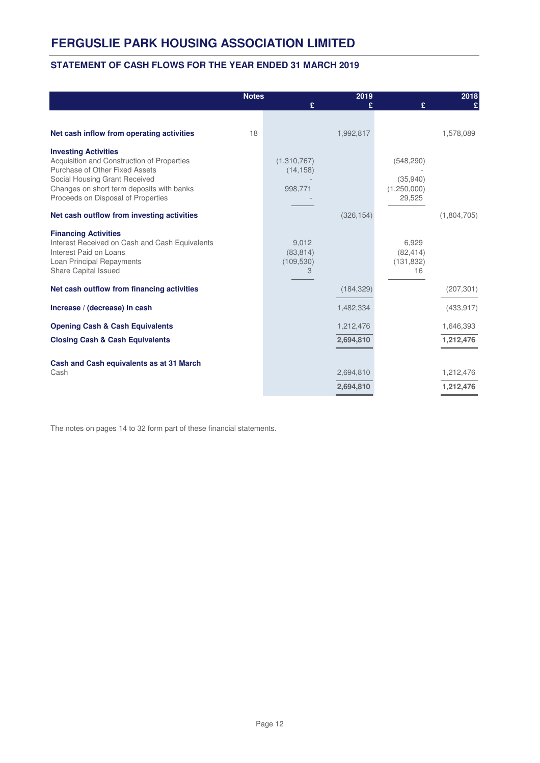### **STATEMENT OF CASH FLOWS FOR THE YEAR ENDED 31 MARCH 2019**

|                                                                                                                                                                                                                                 | <b>Notes</b> | £                                     | 2019                   | £                                               | 2018                   |
|---------------------------------------------------------------------------------------------------------------------------------------------------------------------------------------------------------------------------------|--------------|---------------------------------------|------------------------|-------------------------------------------------|------------------------|
| Net cash inflow from operating activities                                                                                                                                                                                       | 18           |                                       | 1,992,817              |                                                 | 1,578,089              |
| <b>Investing Activities</b><br>Acquisition and Construction of Properties<br>Purchase of Other Fixed Assets<br>Social Housing Grant Received<br>Changes on short term deposits with banks<br>Proceeds on Disposal of Properties |              | (1,310,767)<br>(14, 158)<br>998,771   |                        | (548, 290)<br>(35,940)<br>(1,250,000)<br>29,525 |                        |
| Net cash outflow from investing activities                                                                                                                                                                                      |              |                                       | (326, 154)             |                                                 | (1,804,705)            |
| <b>Financing Activities</b><br>Interest Received on Cash and Cash Equivalents<br>Interest Paid on Loans<br>Loan Principal Repayments<br>Share Capital Issued                                                                    |              | 9,012<br>(83, 814)<br>(109, 530)<br>3 |                        | 6,929<br>(82, 414)<br>(131, 832)<br>16          |                        |
| Net cash outflow from financing activities                                                                                                                                                                                      |              |                                       | (184, 329)             |                                                 | (207, 301)             |
| Increase / (decrease) in cash                                                                                                                                                                                                   |              |                                       | 1,482,334              |                                                 | (433, 917)             |
| <b>Opening Cash &amp; Cash Equivalents</b>                                                                                                                                                                                      |              |                                       | 1,212,476              |                                                 | 1,646,393              |
| <b>Closing Cash &amp; Cash Equivalents</b>                                                                                                                                                                                      |              |                                       | 2,694,810              |                                                 | 1,212,476              |
| Cash and Cash equivalents as at 31 March<br>Cash                                                                                                                                                                                |              |                                       | 2,694,810<br>2,694,810 |                                                 | 1,212,476<br>1,212,476 |
|                                                                                                                                                                                                                                 |              |                                       |                        |                                                 |                        |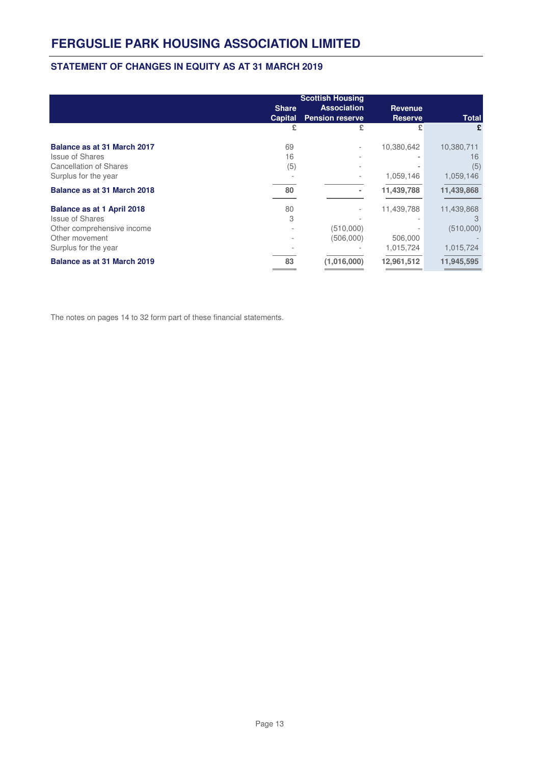### **STATEMENT OF CHANGES IN EQUITY AS AT 31 MARCH 2019**

|                                                                                                                              | <b>Share</b><br><b>Capital</b> | <b>Scottish Housing</b><br><b>Association</b><br><b>Pension reserve</b> | <b>Revenue</b><br><b>Reserve</b>   | <b>Total</b>                              |
|------------------------------------------------------------------------------------------------------------------------------|--------------------------------|-------------------------------------------------------------------------|------------------------------------|-------------------------------------------|
|                                                                                                                              | £                              | £                                                                       | £                                  | £                                         |
| Balance as at 31 March 2017<br><b>Issue of Shares</b>                                                                        | 69<br>16                       | -                                                                       | 10,380,642                         | 10,380,711<br>16                          |
| <b>Cancellation of Shares</b><br>Surplus for the year                                                                        | (5)                            | $\overline{a}$                                                          | 1,059,146                          | (5)<br>1,059,146                          |
| Balance as at 31 March 2018                                                                                                  | 80                             | ٠                                                                       | 11,439,788                         | 11,439,868                                |
| Balance as at 1 April 2018<br><b>Issue of Shares</b><br>Other comprehensive income<br>Other movement<br>Surplus for the year | 80<br>3                        | $\overline{a}$<br>(510,000)<br>(506,000)                                | 11,439,788<br>506,000<br>1,015,724 | 11,439,868<br>З<br>(510,000)<br>1,015,724 |
| Balance as at 31 March 2019                                                                                                  | 83                             | (1,016,000)                                                             | 12,961,512                         | 11,945,595                                |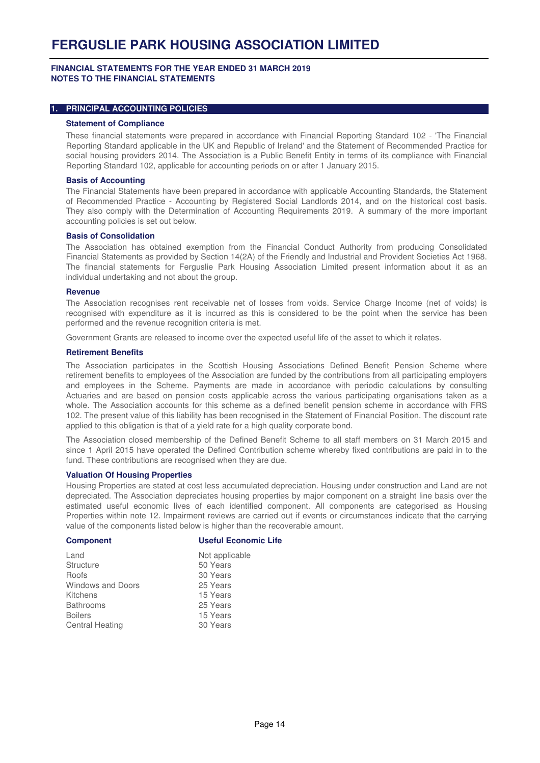#### **FINANCIAL STATEMENTS FOR THE YEAR ENDED 31 MARCH 2019 NOTES TO THE FINANCIAL STATEMENTS**

### **1. PRINCIPAL ACCOUNTING POLICIES**

#### **Statement of Compliance**

These financial statements were prepared in accordance with Financial Reporting Standard 102 - 'The Financial Reporting Standard applicable in the UK and Republic of Ireland' and the Statement of Recommended Practice for social housing providers 2014. The Association is a Public Benefit Entity in terms of its compliance with Financial Reporting Standard 102, applicable for accounting periods on or after 1 January 2015.

#### **Basis of Accounting**

The Financial Statements have been prepared in accordance with applicable Accounting Standards, the Statement of Recommended Practice - Accounting by Registered Social Landlords 2014, and on the historical cost basis. They also comply with the Determination of Accounting Requirements 2019. A summary of the more important accounting policies is set out below.

#### **Basis of Consolidation**

The Association has obtained exemption from the Financial Conduct Authority from producing Consolidated Financial Statements as provided by Section 14(2A) of the Friendly and Industrial and Provident Societies Act 1968. The financial statements for Ferguslie Park Housing Association Limited present information about it as an individual undertaking and not about the group.

#### **Revenue**

The Association recognises rent receivable net of losses from voids. Service Charge Income (net of voids) is recognised with expenditure as it is incurred as this is considered to be the point when the service has been performed and the revenue recognition criteria is met.

Government Grants are released to income over the expected useful life of the asset to which it relates.

#### **Retirement Benefits**

The Association participates in the Scottish Housing Associations Defined Benefit Pension Scheme where retirement benefits to employees of the Association are funded by the contributions from all participating employers and employees in the Scheme. Payments are made in accordance with periodic calculations by consulting Actuaries and are based on pension costs applicable across the various participating organisations taken as a whole. The Association accounts for this scheme as a defined benefit pension scheme in accordance with FRS 102. The present value of this liability has been recognised in the Statement of Financial Position. The discount rate applied to this obligation is that of a yield rate for a high quality corporate bond.

The Association closed membership of the Defined Benefit Scheme to all staff members on 31 March 2015 and since 1 April 2015 have operated the Defined Contribution scheme whereby fixed contributions are paid in to the fund. These contributions are recognised when they are due.

#### **Valuation Of Housing Properties**

Housing Properties are stated at cost less accumulated depreciation. Housing under construction and Land are not depreciated. The Association depreciates housing properties by major component on a straight line basis over the estimated useful economic lives of each identified component. All components are categorised as Housing Properties within note 12. Impairment reviews are carried out if events or circumstances indicate that the carrying value of the components listed below is higher than the recoverable amount.

| <b>Component</b>         | <b>Useful Economic Life</b> |
|--------------------------|-----------------------------|
| Land                     | Not applicable              |
| <b>Structure</b>         | 50 Years                    |
| Roofs                    | 30 Years                    |
| <b>Windows and Doors</b> | 25 Years                    |
| Kitchens                 | 15 Years                    |
| <b>Bathrooms</b>         | 25 Years                    |
| <b>Boilers</b>           | 15 Years                    |
| <b>Central Heating</b>   | 30 Years                    |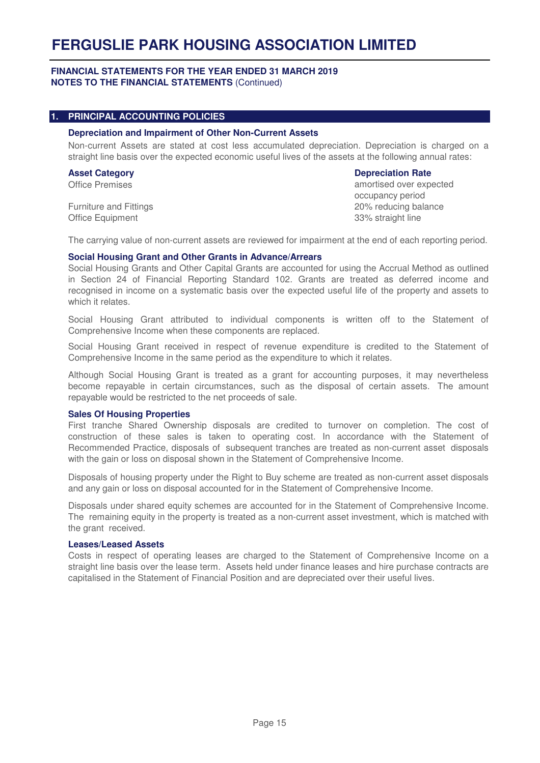#### **FINANCIAL STATEMENTS FOR THE YEAR ENDED 31 MARCH 2019 NOTES TO THE FINANCIAL STATEMENTS** (Continued)

#### **1. PRINCIPAL ACCOUNTING POLICIES**

#### **Depreciation and Impairment of Other Non-Current Assets**

Non-current Assets are stated at cost less accumulated depreciation. Depreciation is charged on a straight line basis over the expected economic useful lives of the assets at the following annual rates:

# **Asset Category Depreciation Rate**

Office Premises amortised over expected occupancy period Furniture and Fittings 20% reducing balance Office Equipment 33% straight line

The carrying value of non-current assets are reviewed for impairment at the end of each reporting period.

#### **Social Housing Grant and Other Grants in Advance/Arrears**

Social Housing Grants and Other Capital Grants are accounted for using the Accrual Method as outlined in Section 24 of Financial Reporting Standard 102. Grants are treated as deferred income and recognised in income on a systematic basis over the expected useful life of the property and assets to which it relates.

Social Housing Grant attributed to individual components is written off to the Statement of Comprehensive Income when these components are replaced.

Social Housing Grant received in respect of revenue expenditure is credited to the Statement of Comprehensive Income in the same period as the expenditure to which it relates.

Although Social Housing Grant is treated as a grant for accounting purposes, it may nevertheless become repayable in certain circumstances, such as the disposal of certain assets. The amount repayable would be restricted to the net proceeds of sale.

#### **Sales Of Housing Properties**

First tranche Shared Ownership disposals are credited to turnover on completion. The cost of construction of these sales is taken to operating cost. In accordance with the Statement of Recommended Practice, disposals of subsequent tranches are treated as non-current asset disposals with the gain or loss on disposal shown in the Statement of Comprehensive Income.

Disposals of housing property under the Right to Buy scheme are treated as non-current asset disposals and any gain or loss on disposal accounted for in the Statement of Comprehensive Income.

Disposals under shared equity schemes are accounted for in the Statement of Comprehensive Income. The remaining equity in the property is treated as a non-current asset investment, which is matched with the grant received.

#### **Leases/Leased Assets**

Costs in respect of operating leases are charged to the Statement of Comprehensive Income on a straight line basis over the lease term. Assets held under finance leases and hire purchase contracts are capitalised in the Statement of Financial Position and are depreciated over their useful lives.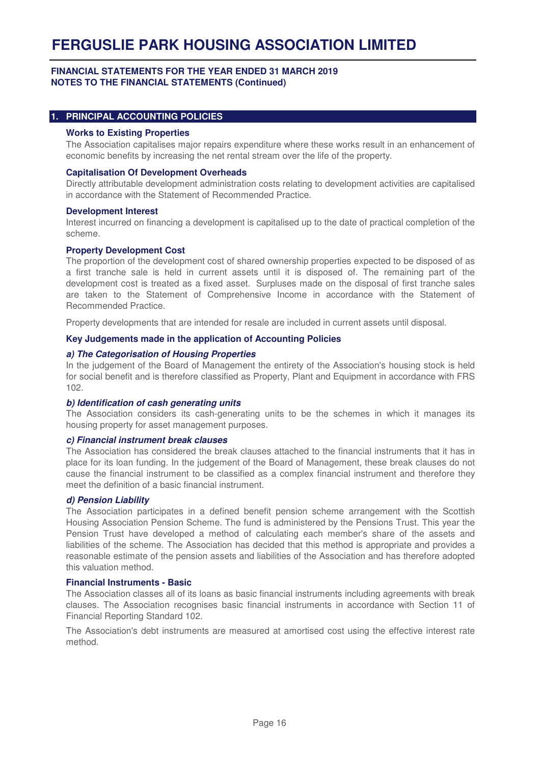#### **FINANCIAL STATEMENTS FOR THE YEAR ENDED 31 MARCH 2019 NOTES TO THE FINANCIAL STATEMENTS (Continued)**

#### **1. PRINCIPAL ACCOUNTING POLICIES**

#### **Works to Existing Properties**

The Association capitalises major repairs expenditure where these works result in an enhancement of economic benefits by increasing the net rental stream over the life of the property.

#### **Capitalisation Of Development Overheads**

Directly attributable development administration costs relating to development activities are capitalised in accordance with the Statement of Recommended Practice.

#### **Development Interest**

Interest incurred on financing a development is capitalised up to the date of practical completion of the scheme.

#### **Property Development Cost**

The proportion of the development cost of shared ownership properties expected to be disposed of as a first tranche sale is held in current assets until it is disposed of. The remaining part of the development cost is treated as a fixed asset. Surpluses made on the disposal of first tranche sales are taken to the Statement of Comprehensive Income in accordance with the Statement of Recommended Practice.

Property developments that are intended for resale are included in current assets until disposal.

#### **Key Judgements made in the application of Accounting Policies**

#### **a) The Categorisation of Housing Properties**

In the judgement of the Board of Management the entirety of the Association's housing stock is held for social benefit and is therefore classified as Property, Plant and Equipment in accordance with FRS 102.

#### **b) Identification of cash generating units**

The Association considers its cash-generating units to be the schemes in which it manages its housing property for asset management purposes.

#### **c) Financial instrument break clauses**

The Association has considered the break clauses attached to the financial instruments that it has in place for its loan funding. In the judgement of the Board of Management, these break clauses do not cause the financial instrument to be classified as a complex financial instrument and therefore they meet the definition of a basic financial instrument.

#### **d) Pension Liability**

The Association participates in a defined benefit pension scheme arrangement with the Scottish Housing Association Pension Scheme. The fund is administered by the Pensions Trust. This year the Pension Trust have developed a method of calculating each member's share of the assets and liabilities of the scheme. The Association has decided that this method is appropriate and provides a reasonable estimate of the pension assets and liabilities of the Association and has therefore adopted this valuation method.

#### **Financial Instruments - Basic**

The Association classes all of its loans as basic financial instruments including agreements with break clauses. The Association recognises basic financial instruments in accordance with Section 11 of Financial Reporting Standard 102.

The Association's debt instruments are measured at amortised cost using the effective interest rate method.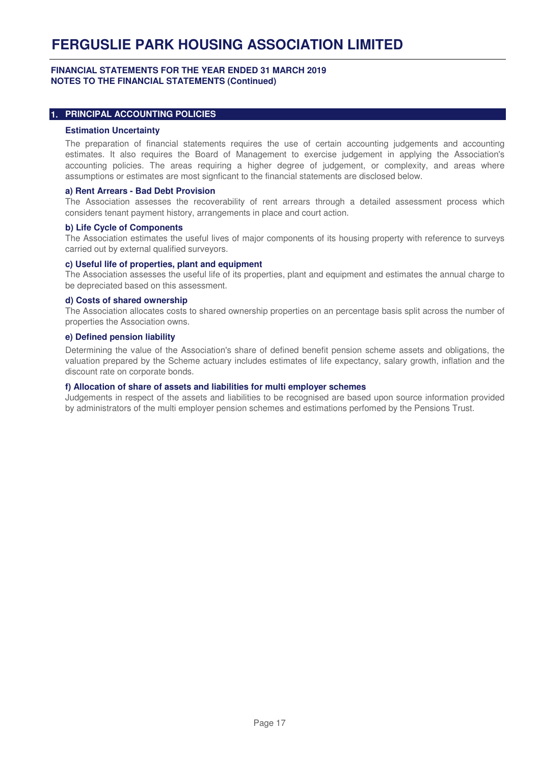#### **FINANCIAL STATEMENTS FOR THE YEAR ENDED 31 MARCH 2019 NOTES TO THE FINANCIAL STATEMENTS (Continued)**

#### **1. PRINCIPAL ACCOUNTING POLICIES**

#### **Estimation Uncertainty**

The preparation of financial statements requires the use of certain accounting judgements and accounting estimates. It also requires the Board of Management to exercise judgement in applying the Association's accounting policies. The areas requiring a higher degree of judgement, or complexity, and areas where assumptions or estimates are most signficant to the financial statements are disclosed below.

#### **a) Rent Arrears - Bad Debt Provision**

The Association assesses the recoverability of rent arrears through a detailed assessment process which considers tenant payment history, arrangements in place and court action.

#### **b) Life Cycle of Components**

The Association estimates the useful lives of major components of its housing property with reference to surveys carried out by external qualified surveyors.

#### **c) Useful life of properties, plant and equipment**

The Association assesses the useful life of its properties, plant and equipment and estimates the annual charge to be depreciated based on this assessment.

#### **d) Costs of shared ownership**

The Association allocates costs to shared ownership properties on an percentage basis split across the number of properties the Association owns.

#### **e) Defined pension liability**

Determining the value of the Association's share of defined benefit pension scheme assets and obligations, the valuation prepared by the Scheme actuary includes estimates of life expectancy, salary growth, inflation and the discount rate on corporate bonds.

#### **f) Allocation of share of assets and liabilities for multi employer schemes**

Judgements in respect of the assets and liabilities to be recognised are based upon source information provided by administrators of the multi employer pension schemes and estimations perfomed by the Pensions Trust.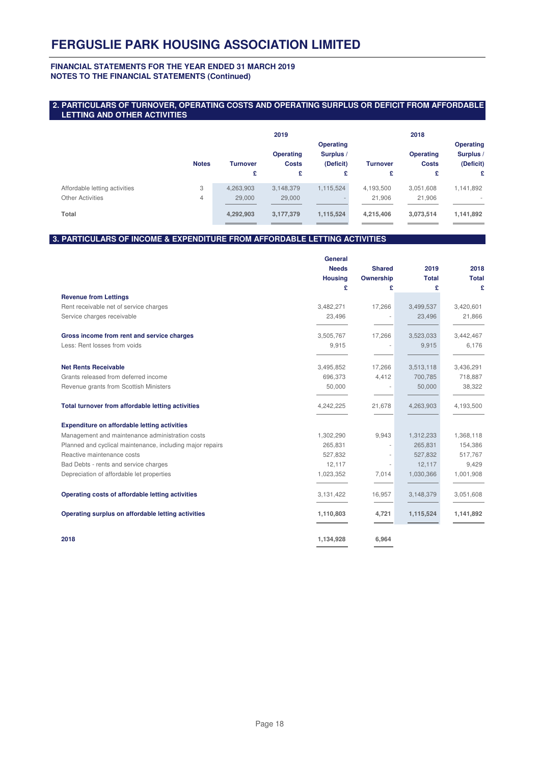#### **FINANCIAL STATEMENTS FOR THE YEAR ENDED 31 MARCH 2019 NOTES TO THE FINANCIAL STATEMENTS (Continued)**

#### **2. PARTICULARS OF TURNOVER, OPERATING COSTS AND OPERATING SURPLUS OR DEFICIT FROM AFFORDABLE LETTING AND OTHER ACTIVITIES**

|                                                          |              |                     | 2019                             |                                            |                     | 2018                             |                                            |
|----------------------------------------------------------|--------------|---------------------|----------------------------------|--------------------------------------------|---------------------|----------------------------------|--------------------------------------------|
|                                                          | <b>Notes</b> | <b>Turnover</b>     | <b>Operating</b><br><b>Costs</b> | <b>Operating</b><br>Surplus /<br>(Deficit) | <b>Turnover</b>     | <b>Operating</b><br><b>Costs</b> | <b>Operating</b><br>Surplus /<br>(Deficit) |
|                                                          |              | £                   | £                                | £                                          | £                   | £                                | £                                          |
| Affordable letting activities<br><b>Other Activities</b> | 3<br>4       | 4,263,903<br>29,000 | 3,148,379<br>29,000              | 1,115,524                                  | 4,193,500<br>21,906 | 3,051,608<br>21,906              | 1,141,892                                  |
| Total                                                    |              | 4,292,903           | 3,177,379                        | 1,115,524                                  | 4,215,406           | 3,073,514                        | 1,141,892                                  |

#### **3. PARTICULARS OF INCOME & EXPENDITURE FROM AFFORDABLE LETTING ACTIVITIES**

|                                                           | General<br><b>Needs</b> | <b>Shared</b> | 2019         | 2018         |
|-----------------------------------------------------------|-------------------------|---------------|--------------|--------------|
|                                                           | <b>Housing</b>          | Ownership     | <b>Total</b> | <b>Total</b> |
|                                                           | £                       | £             | £            | £            |
| <b>Revenue from Lettings</b>                              |                         |               |              |              |
| Rent receivable net of service charges                    | 3,482,271               | 17,266        | 3,499,537    | 3,420,601    |
| Service charges receivable                                | 23,496                  |               | 23,496       | 21,866       |
| Gross income from rent and service charges                | 3,505,767               | 17,266        | 3,523,033    | 3,442,467    |
| Less: Rent losses from voids                              | 9,915                   |               | 9,915        | 6,176        |
| <b>Net Rents Receivable</b>                               | 3,495,852               | 17,266        | 3,513,118    | 3,436,291    |
| Grants released from deferred income                      | 696,373                 | 4,412         | 700,785      | 718,887      |
| Revenue grants from Scottish Ministers                    | 50,000                  |               | 50,000       | 38,322       |
| Total turnover from affordable letting activities         | 4,242,225               | 21,678        | 4,263,903    | 4,193,500    |
| <b>Expenditure on affordable letting activities</b>       |                         |               |              |              |
| Management and maintenance administration costs           | 1,302,290               | 9,943         | 1,312,233    | 1,368,118    |
| Planned and cyclical maintenance, including major repairs | 265,831                 |               | 265,831      | 154,386      |
| Reactive maintenance costs                                | 527,832                 |               | 527,832      | 517,767      |
| Bad Debts - rents and service charges                     | 12,117                  |               | 12,117       | 9,429        |
| Depreciation of affordable let properties                 | 1,023,352               | 7,014         | 1,030,366    | 1,001,908    |
| Operating costs of affordable letting activities          | 3,131,422               | 16,957        | 3,148,379    | 3,051,608    |
| Operating surplus on affordable letting activities        | 1,110,803               | 4,721         | 1,115,524    | 1,141,892    |
| 2018                                                      | 1,134,928               | 6,964         |              |              |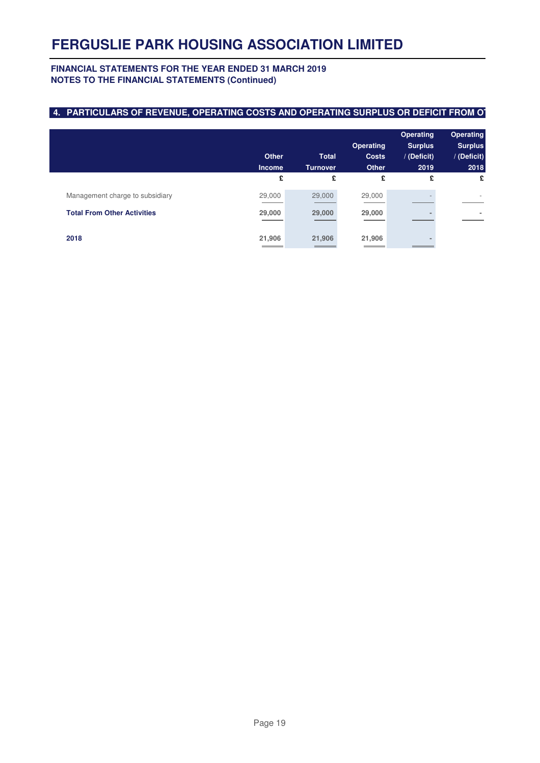#### **FINANCIAL STATEMENTS FOR THE YEAR ENDED 31 MARCH 2019 NOTES TO THE FINANCIAL STATEMENTS (Continued)**

### **4. PARTICULARS OF REVENUE, OPERATING COSTS AND OPERATING SURPLUS OR DEFICIT FROM OT**

|                                    | <b>Other</b><br><b>Income</b> | <b>Total</b><br><b>Turnover</b> | <b>Operating</b><br><b>Costs</b><br><b>Other</b> | <b>Operating</b><br><b>Surplus</b><br>/ (Deficit)<br>2019 | <b>Operating</b><br><b>Surplus</b><br>/ (Deficit)<br>2018 |
|------------------------------------|-------------------------------|---------------------------------|--------------------------------------------------|-----------------------------------------------------------|-----------------------------------------------------------|
|                                    | £                             | £                               | £                                                | £                                                         | £                                                         |
| Management charge to subsidiary    | 29,000                        | 29,000                          | 29,000                                           |                                                           | $\overline{\phantom{a}}$                                  |
| <b>Total From Other Activities</b> | 29,000                        | 29,000                          | 29,000                                           |                                                           |                                                           |
| 2018                               | 21,906                        | 21,906                          | 21,906                                           |                                                           |                                                           |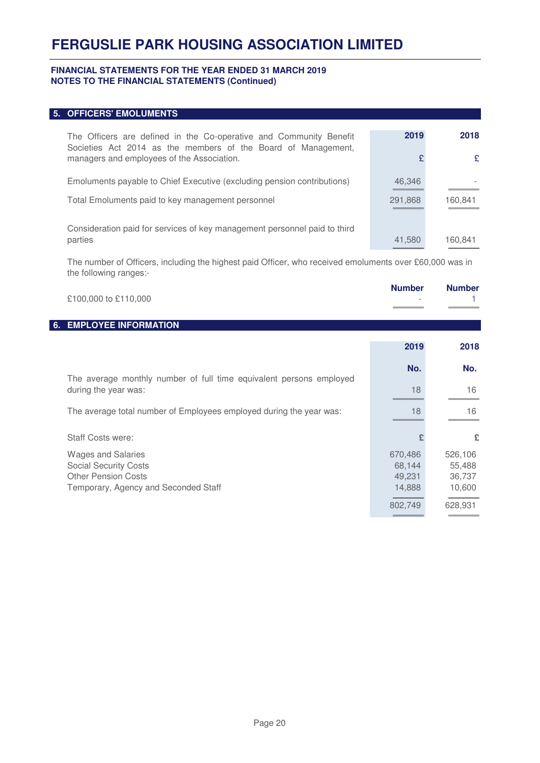#### **FINANCIAL STATEMENTS FOR THE YEAR ENDED 31 MARCH 2019 NOTES TO THE FINANCIAL STATEMENTS (Continued)**

### **5. OFFICERS' EMOLUMENTS**

| The Officers are defined in the Co-operative and Community Benefit<br>Societies Act 2014 as the members of the Board of Management,<br>managers and employees of the Association. | 2019              | 2018<br>£ |
|-----------------------------------------------------------------------------------------------------------------------------------------------------------------------------------|-------------------|-----------|
| Emoluments payable to Chief Executive (excluding pension contributions)<br>Total Emoluments paid to key management personnel                                                      | 46,346<br>291,868 | 160,841   |
| Consideration paid for services of key management personnel paid to third<br>parties                                                                                              | 41,580            | 160,841   |

The number of Officers, including the highest paid Officer, who received emoluments over £60,000 was in the following ranges:-

|    | £100,000 to £110,000                                                                                                            | <b>Number</b>                                    | <b>Number</b>                                    |
|----|---------------------------------------------------------------------------------------------------------------------------------|--------------------------------------------------|--------------------------------------------------|
| 6. | <b>EMPLOYEE INFORMATION</b>                                                                                                     |                                                  |                                                  |
|    |                                                                                                                                 | 2019                                             | 2018                                             |
|    |                                                                                                                                 | No.                                              | No.                                              |
|    | The average monthly number of full time equivalent persons employed<br>during the year was:                                     | 18                                               | 16                                               |
|    | The average total number of Employees employed during the year was:                                                             | 18                                               | 16                                               |
|    | <b>Staff Costs were:</b>                                                                                                        |                                                  | £                                                |
|    | <b>Wages and Salaries</b><br><b>Social Security Costs</b><br><b>Other Pension Costs</b><br>Temporary, Agency and Seconded Staff | 670,486<br>68,144<br>49,231<br>14,888<br>802,749 | 526,106<br>55,488<br>36,737<br>10,600<br>628,931 |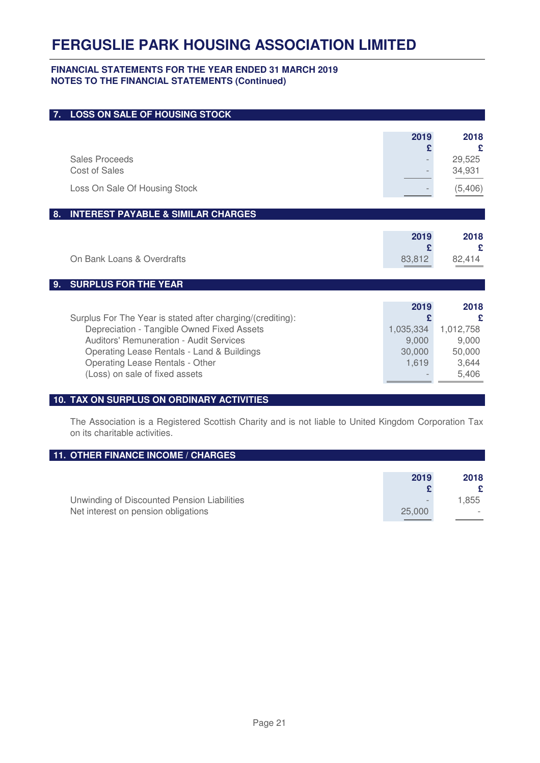#### **FINANCIAL STATEMENTS FOR THE YEAR ENDED 31 MARCH 2019 NOTES TO THE FINANCIAL STATEMENTS (Continued)**

| 7. | <b>LOSS ON SALE OF HOUSING STOCK</b>                                                                                                                                                                                                                                   |                                                    |                                                             |
|----|------------------------------------------------------------------------------------------------------------------------------------------------------------------------------------------------------------------------------------------------------------------------|----------------------------------------------------|-------------------------------------------------------------|
|    |                                                                                                                                                                                                                                                                        | 2019<br>£                                          | 2018<br>£                                                   |
|    | Sales Proceeds<br>Cost of Sales                                                                                                                                                                                                                                        |                                                    | 29,525<br>34,931                                            |
|    | Loss On Sale Of Housing Stock                                                                                                                                                                                                                                          |                                                    | (5, 406)                                                    |
| 8. | <b>INTEREST PAYABLE &amp; SIMILAR CHARGES</b>                                                                                                                                                                                                                          |                                                    |                                                             |
|    | On Bank Loans & Overdrafts                                                                                                                                                                                                                                             | 2019<br>£<br>83,812                                | 2018<br>£<br>82,414                                         |
| 9. | <b>SURPLUS FOR THE YEAR</b>                                                                                                                                                                                                                                            |                                                    |                                                             |
|    | Surplus For The Year is stated after charging/(crediting):<br>Depreciation - Tangible Owned Fixed Assets<br>Auditors' Remuneration - Audit Services<br>Operating Lease Rentals - Land & Buildings<br>Operating Lease Rentals - Other<br>(Loss) on sale of fixed assets | 2019<br>£<br>1,035,334<br>9,000<br>30,000<br>1,619 | 2018<br>£<br>1,012,758<br>9,000<br>50,000<br>3,644<br>5,406 |

#### **10. TAX ON SURPLUS ON ORDINARY ACTIVITIES**

The Association is a Registered Scottish Charity and is not liable to United Kingdom Corporation Tax on its charitable activities.

### **11. OTHER FINANCE INCOME / CHARGES**

|                                             | 2019                     | 2018  |
|---------------------------------------------|--------------------------|-------|
| Unwinding of Discounted Pension Liabilities | $\overline{\phantom{a}}$ | 1.855 |
| Net interest on pension obligations         | 25,000                   |       |
|                                             |                          |       |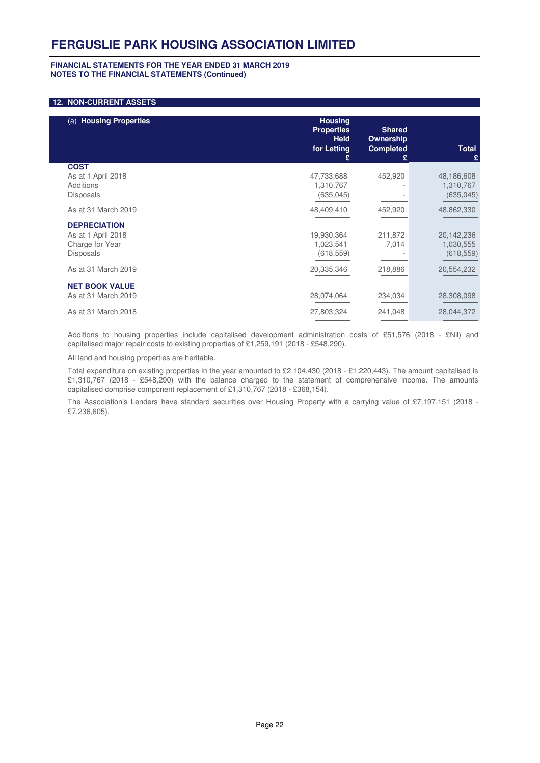#### **FINANCIAL STATEMENTS FOR THE YEAR ENDED 31 MARCH 2019 NOTES TO THE FINANCIAL STATEMENTS (Continued)**

#### **12. NON-CURRENT ASSETS**

| (a) Housing Properties                                                           | <b>Housing</b><br><b>Properties</b><br><b>Held</b><br>for Letting | <b>Shared</b><br><b>Ownership</b><br><b>Completed</b><br>£ | <b>Total</b><br>£                     |
|----------------------------------------------------------------------------------|-------------------------------------------------------------------|------------------------------------------------------------|---------------------------------------|
| <b>COST</b><br>As at 1 April 2018<br>Additions<br><b>Disposals</b>               | 47,733,688<br>1,310,767<br>(635, 045)                             | 452,920                                                    | 48,186,608<br>1,310,767<br>(635, 045) |
| As at 31 March 2019                                                              | 48,409,410                                                        | 452,920                                                    | 48,862,330                            |
| <b>DEPRECIATION</b><br>As at 1 April 2018<br>Charge for Year<br><b>Disposals</b> | 19,930,364<br>1,023,541<br>(618, 559)                             | 211,872<br>7,014                                           | 20,142,236<br>1,030,555<br>(618, 559) |
| As at 31 March 2019                                                              | 20,335,346                                                        | 218,886                                                    | 20,554,232                            |
| <b>NET BOOK VALUE</b><br>As at 31 March 2019                                     | 28,074,064                                                        | 234,034                                                    | 28,308,098                            |
| As at 31 March 2018                                                              | 27,803,324                                                        | 241,048                                                    | 28,044,372                            |

Additions to housing properties include capitalised development administration costs of £51,576 (2018 - £Nil) and capitalised major repair costs to existing properties of £1,259,191 (2018 - £548,290).

All land and housing properties are heritable.

Total expenditure on existing properties in the year amounted to £2,104,430 (2018 - £1,220,443). The amount capitalised is £1,310,767 (2018 - £548,290) with the balance charged to the statement of comprehensive income. The amounts capitalised comprise component replacement of £1,310,767 (2018 - £368,154).

The Association's Lenders have standard securities over Housing Property with a carrying value of £7,197,151 (2018 - £7,236,605).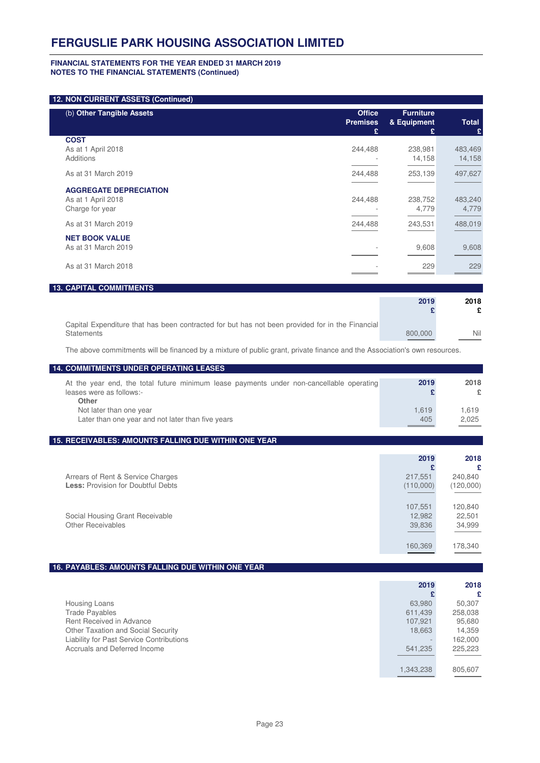#### **FINANCIAL STATEMENTS FOR THE YEAR ENDED 31 MARCH 2019 NOTES TO THE FINANCIAL STATEMENTS (Continued)**

#### **12. NON CURRENT ASSETS (Continued)**

**Statements** 

| (b) Other Tangible Assets                                              | <b>Office</b><br><b>Premises</b><br>£ | <b>Furniture</b><br>& Equipment<br>£. | <b>Total</b><br>£ |
|------------------------------------------------------------------------|---------------------------------------|---------------------------------------|-------------------|
| <b>COST</b><br>As at 1 April 2018<br>Additions                         | 244,488                               | 238,981<br>14,158                     | 483,469<br>14,158 |
| As at 31 March 2019                                                    | 244,488                               | 253,139                               | 497,627           |
| <b>AGGREGATE DEPRECIATION</b><br>As at 1 April 2018<br>Charge for year | 244,488                               | 238,752<br>4,779                      | 483,240<br>4,779  |
| As at 31 March 2019                                                    | 244,488                               | 243,531                               | 488,019           |
| <b>NET BOOK VALUE</b><br>As at 31 March 2019                           |                                       | 9,608                                 | 9,608             |
| As at 31 March 2018                                                    |                                       | 229                                   | 229               |
| <b>13. CAPITAL COMMITMENTS</b>                                         |                                       |                                       |                   |
|                                                                        |                                       | 2019                                  | 2018<br>£         |

The above commitments will be financed by a mixture of public grant, private finance and the Association's own resources.

Capital Expenditure that has been contracted for but has not been provided for in the Financial

800,000 Nil

| <b>14. COMMITMENTS UNDER OPERATING LEASES</b>                                                                                                        |                                        |                                                  |
|------------------------------------------------------------------------------------------------------------------------------------------------------|----------------------------------------|--------------------------------------------------|
| At the year end, the total future minimum lease payments under non-cancellable operating<br>leases were as follows:-<br>Other                        | 2019<br>£                              | 2018<br>£                                        |
| Not later than one year<br>Later than one year and not later than five years                                                                         | 1,619<br>405                           | 1,619<br>2,025                                   |
| 15. RECEIVABLES: AMOUNTS FALLING DUE WITHIN ONE YEAR                                                                                                 |                                        |                                                  |
|                                                                                                                                                      | 2019<br>£                              | 2018<br>£                                        |
| Arrears of Rent & Service Charges<br><b>Less: Provision for Doubtful Debts</b>                                                                       | 217,551<br>(110,000)                   | 240,840<br>(120,000)                             |
| Social Housing Grant Receivable<br>Other Receivables                                                                                                 | 107,551<br>12,982<br>39,836            | 120,840<br>22,501<br>34,999                      |
|                                                                                                                                                      | 160,369                                | 178,340                                          |
| 16. PAYABLES: AMOUNTS FALLING DUE WITHIN ONE YEAR                                                                                                    |                                        |                                                  |
|                                                                                                                                                      | 2019<br>£                              | 2018<br>£                                        |
| Housing Loans<br><b>Trade Payables</b><br>Rent Received in Advance<br>Other Taxation and Social Security<br>Liability for Past Service Contributions | 63,980<br>611,439<br>107,921<br>18,663 | 50,307<br>258,038<br>95,680<br>14,359<br>162,000 |
| Accruals and Deferred Income                                                                                                                         | 541,235<br>1,343,238                   | 225,223<br>805,607                               |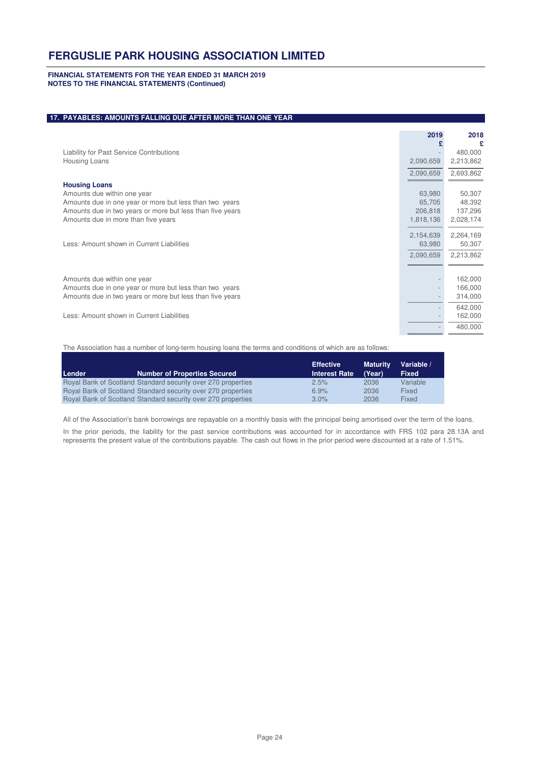#### **FINANCIAL STATEMENTS FOR THE YEAR ENDED 31 MARCH 2019 NOTES TO THE FINANCIAL STATEMENTS (Continued)**

#### **17. PAYABLES: AMOUNTS FALLING DUE AFTER MORE THAN ONE YEAR**

|                                                           | 2019      | 2018      |
|-----------------------------------------------------------|-----------|-----------|
| Liability for Past Service Contributions                  |           | 480,000   |
| Housing Loans                                             | 2,090,659 | 2,213,862 |
|                                                           | 2,090,659 | 2,693,862 |
| <b>Housing Loans</b>                                      |           |           |
| Amounts due within one year                               | 63.980    | 50,307    |
| Amounts due in one year or more but less than two years   | 65,705    | 48,392    |
| Amounts due in two years or more but less than five years | 206,818   | 137,296   |
| Amounts due in more than five years                       | 1,818,136 | 2,028,174 |
|                                                           | 2,154,639 | 2,264,169 |
| Less: Amount shown in Current Liabilities                 | 63,980    | 50,307    |
|                                                           | 2,090,659 | 2,213,862 |
|                                                           |           |           |
| Amounts due within one year                               |           | 162,000   |
| Amounts due in one year or more but less than two years   |           | 166,000   |
| Amounts due in two years or more but less than five years |           | 314,000   |
|                                                           |           | 642,000   |
| Less: Amount shown in Current Liabilities                 |           | 162,000   |
|                                                           |           | 480,000   |
|                                                           |           |           |

The Association has a number of long-term housing loans the terms and conditions of which are as follows:

| Lender | <b>Number of Properties Secured</b>                          | <b>Effective</b><br><b>Interest Rate</b> | <b>Maturity</b><br>(Year) | Variable /<br><b>Fixed</b> |
|--------|--------------------------------------------------------------|------------------------------------------|---------------------------|----------------------------|
|        | Royal Bank of Scotland Standard security over 270 properties | 2.5%                                     | 2036                      | Variable                   |
|        | Royal Bank of Scotland Standard security over 270 properties | 6.9%                                     | 2036                      | Fixed                      |
|        | Royal Bank of Scotland Standard security over 270 properties | $3.0\%$                                  | 2036                      | Fixed                      |

All of the Association's bank borrowings are repayable on a monthly basis with the principal being amortised over the term of the loans.

In the prior periods, the liability for the past service contributions was accounted for in accordance with FRS 102 para 28.13A and represents the present value of the contributions payable. The cash out flows in the prior period were discounted at a rate of 1.51%.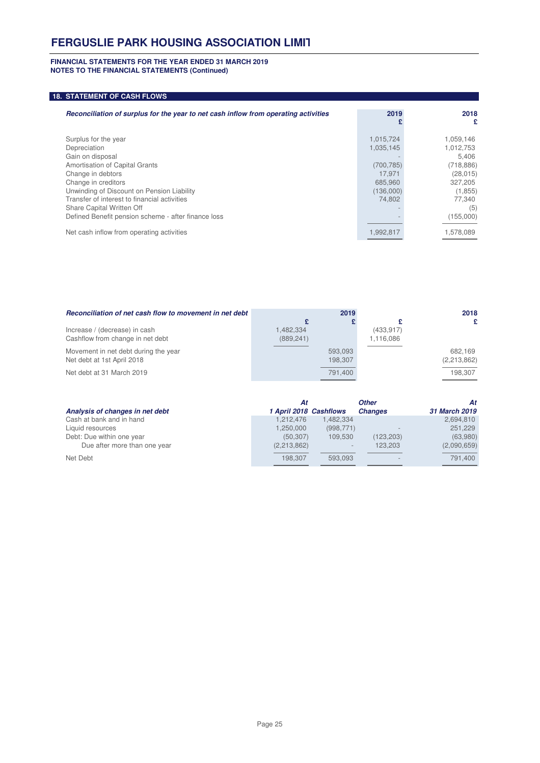#### **FINANCIAL STATEMENTS FOR THE YEAR ENDED 31 MARCH 2019 NOTES TO THE FINANCIAL STATEMENTS (Continued)**

#### **18. STATEMENT OF CASH FLOWS**

| Reconciliation of surplus for the year to net cash inflow from operating activities | 2019       | 2018       |
|-------------------------------------------------------------------------------------|------------|------------|
|                                                                                     |            | £          |
| Surplus for the year                                                                | 1,015,724  | 1,059,146  |
| Depreciation                                                                        | 1,035,145  | 1,012,753  |
| Gain on disposal                                                                    |            | 5.406      |
| Amortisation of Capital Grants                                                      | (700, 785) | (718, 886) |
| Change in debtors                                                                   | 17.971     | (28, 015)  |
| Change in creditors                                                                 | 685.960    | 327,205    |
| Unwinding of Discount on Pension Liability                                          | (136,000)  | (1, 855)   |
| Transfer of interest to financial activities                                        | 74.802     | 77.340     |
| Share Capital Written Off                                                           |            | (5)        |
| Defined Benefit pension scheme - after finance loss                                 |            | (155,000)  |
| Net cash inflow from operating activities                                           | 1,992,817  | 1,578,089  |

| Reconciliation of net cash flow to movement in net debt |            | 2019    |            | 2018        |
|---------------------------------------------------------|------------|---------|------------|-------------|
|                                                         |            |         |            | £           |
| Increase / (decrease) in cash                           | 1.482.334  |         | (433, 917) |             |
| Cashflow from change in net debt                        | (889, 241) |         | 1,116,086  |             |
| Movement in net debt during the year                    |            | 593.093 |            | 682.169     |
| Net debt at 1st April 2018                              |            | 198.307 |            | (2,213,862) |
| Net debt at 31 March 2019                               |            | 791.400 |            | 198.307     |

|                                 | Αt                     |            | <b>Other</b>   | At            |
|---------------------------------|------------------------|------------|----------------|---------------|
| Analysis of changes in net debt | 1 April 2018 Cashflows |            | <b>Changes</b> | 31 March 2019 |
| Cash at bank and in hand        | 1.212.476              | 1.482.334  |                | 2,694,810     |
| Liquid resources                | 1,250,000              | (998, 771) |                | 251,229       |
| Debt: Due within one year       | (50.307)               | 109.530    | (123, 203)     | (63,980)      |
| Due after more than one year    | (2,213,862)            |            | 123.203        | (2,090,659)   |
| Net Debt                        | 198.307                | 593.093    |                | 791.400       |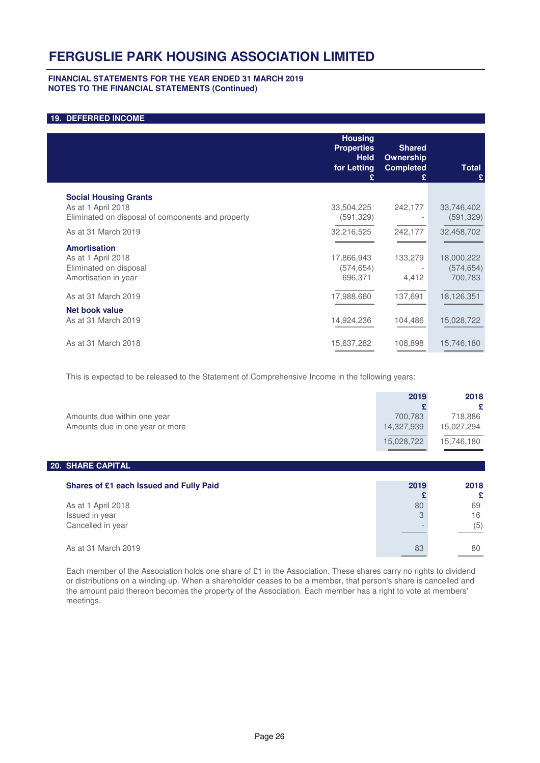#### **FINANCIAL STATEMENTS FOR THE YEAR ENDED 31 MARCH 2019 NOTES TO THE FINANCIAL STATEMENTS (Continued)**

#### **19. DEFERRED INCOME**

|                                                                                                         | <b>Housing</b><br><b>Properties</b><br><b>Held</b><br>for Letting<br>£ | <b>Shared</b><br>Ownership<br><b>Completed</b><br>£ | Total<br>£                          |
|---------------------------------------------------------------------------------------------------------|------------------------------------------------------------------------|-----------------------------------------------------|-------------------------------------|
| <b>Social Housing Grants</b><br>As at 1 April 2018<br>Eliminated on disposal of components and property | 33,504,225<br>(591, 329)                                               | 242,177                                             | 33,746,402<br>(591, 329)            |
| As at 31 March 2019                                                                                     | 32,216,525                                                             | 242,177                                             | 32,458,702                          |
| <b>Amortisation</b><br>As at 1 April 2018<br>Eliminated on disposal<br>Amortisation in year             | 17,866,943<br>(574, 654)<br>696,371                                    | 133,279<br>4,412                                    | 18,000,222<br>(574, 654)<br>700,783 |
| As at 31 March 2019                                                                                     | 17,988,660                                                             | 137,691                                             | 18,126,351                          |
| <b>Net book value</b><br>As at 31 March 2019                                                            | 14,924,236                                                             | 104,486                                             | 15,028,722                          |
| As at 31 March 2018                                                                                     | 15,637,282                                                             | 108,898                                             | 15,746,180                          |

This is expected to be released to the Statement of Comprehensive Income in the following years:

| 2019                  | 2018<br>£             |
|-----------------------|-----------------------|
| 700,783<br>14,327,939 | 718,886<br>15,027,294 |
| 15,028,722            | 15,746,180            |
|                       |                       |
| 2019                  | 2018                  |
| 80<br>3               | £<br>69<br>16<br>(5)  |
|                       |                       |

As at 31 March 2019 80

Each member of the Association holds one share of £1 in the Association. These shares carry no rights to dividend or distributions on a winding up. When a shareholder ceases to be a member, that person's share is cancelled and the amount paid thereon becomes the property of the Association. Each member has a right to vote at members' meetings.

 $\overline{a}$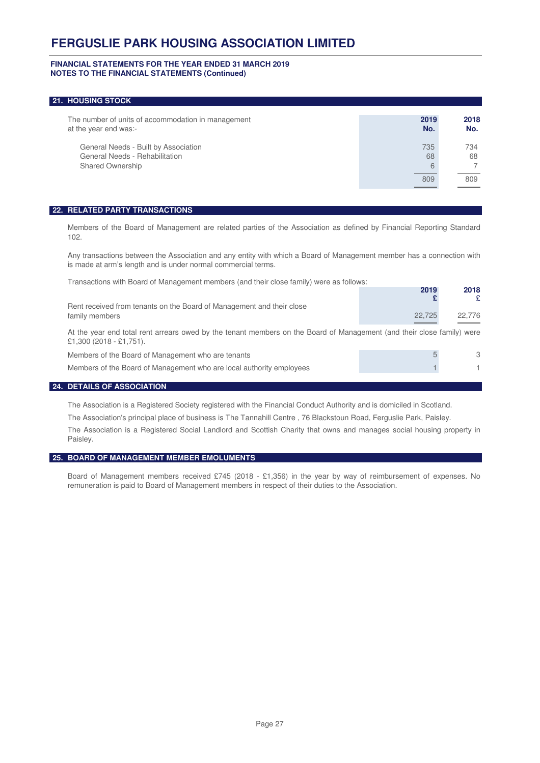#### **FINANCIAL STATEMENTS FOR THE YEAR ENDED 31 MARCH 2019 NOTES TO THE FINANCIAL STATEMENTS (Continued)**

#### **21. HOUSING STOCK**

| The number of units of accommodation in management<br>at the year end was:-                       | 2019<br>No.    | 2018<br>No. |
|---------------------------------------------------------------------------------------------------|----------------|-------------|
| General Needs - Built by Association<br>General Needs - Rehabilitation<br><b>Shared Ownership</b> | 735<br>68<br>6 | 734<br>68   |
|                                                                                                   | 809            | 809         |

#### **22. RELATED PARTY TRANSACTIONS**

Members of the Board of Management are related parties of the Association as defined by Financial Reporting Standard 102.

Any transactions between the Association and any entity with which a Board of Management member has a connection with is made at arm's length and is under normal commercial terms.

| Transactions with Board of Management members (and their close family) were as follows:                                                           |        |            |
|---------------------------------------------------------------------------------------------------------------------------------------------------|--------|------------|
|                                                                                                                                                   | 2019   | 2018<br>£. |
| Rent received from tenants on the Board of Management and their close                                                                             |        |            |
| family members                                                                                                                                    | 22,725 | 22,776     |
| At the year end total rent arrears owed by the tenant members on the Board of Management (and their close family) were<br>£1,300 (2018 - £1,751). |        |            |
| Members of the Board of Management who are tenants                                                                                                | 5      | 3          |
| Members of the Board of Management who are local authority employees                                                                              |        | 1.         |
| <b>DETAIL C OF ACCOCIATION</b>                                                                                                                    |        |            |

#### **24. DETAILS OF ASSOCIATION**

The Association is a Registered Society registered with the Financial Conduct Authority and is domiciled in Scotland.

The Association's principal place of business is The Tannahill Centre , 76 Blackstoun Road, Ferguslie Park, Paisley.

The Association is a Registered Social Landlord and Scottish Charity that owns and manages social housing property in Paisley.

#### **25. BOARD OF MANAGEMENT MEMBER EMOLUMENTS**

Board of Management members received £745 (2018 - £1,356) in the year by way of reimbursement of expenses. No remuneration is paid to Board of Management members in respect of their duties to the Association.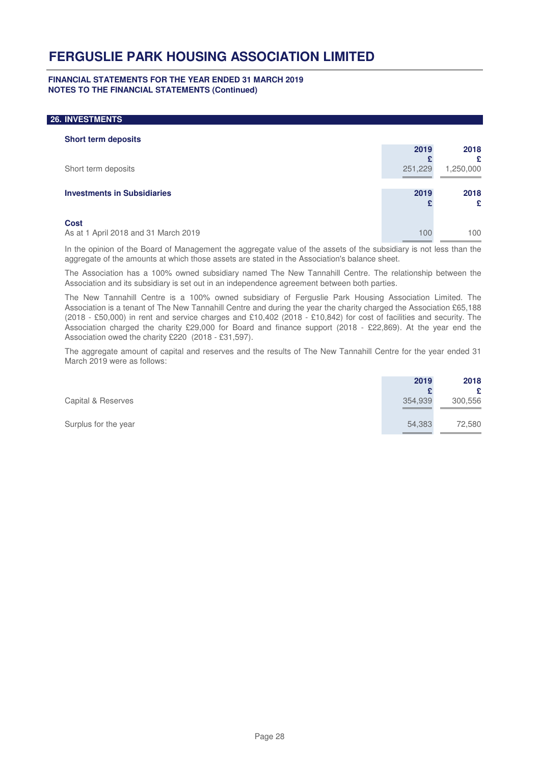#### **FINANCIAL STATEMENTS FOR THE YEAR ENDED 31 MARCH 2019 NOTES TO THE FINANCIAL STATEMENTS (Continued)**

#### **26. INVESTMENTS**

| <b>Short term deposits</b>           |         |           |  |
|--------------------------------------|---------|-----------|--|
|                                      | 2019    | 2018      |  |
|                                      |         | £         |  |
| Short term deposits                  | 251,229 | 1,250,000 |  |
|                                      |         |           |  |
| <b>Investments in Subsidiaries</b>   | 2019    | 2018      |  |
|                                      |         | £         |  |
|                                      |         |           |  |
| <b>Cost</b>                          |         |           |  |
| As at 1 April 2018 and 31 March 2019 | 100     | 100       |  |
|                                      |         |           |  |

In the opinion of the Board of Management the aggregate value of the assets of the subsidiary is not less than the aggregate of the amounts at which those assets are stated in the Association's balance sheet.

The Association has a 100% owned subsidiary named The New Tannahill Centre. The relationship between the Association and its subsidiary is set out in an independence agreement between both parties.

The New Tannahill Centre is a 100% owned subsidiary of Ferguslie Park Housing Association Limited. The Association is a tenant of The New Tannahill Centre and during the year the charity charged the Association £65,188 (2018 - £50,000) in rent and service charges and £10,402 (2018 - £10,842) for cost of facilities and security. The Association charged the charity £29,000 for Board and finance support (2018 - £22,869). At the year end the Association owed the charity £220 (2018 - £31,597).

The aggregate amount of capital and reserves and the results of The New Tannahill Centre for the year ended 31 March 2019 were as follows:

|                      | 2019    | 2018    |
|----------------------|---------|---------|
|                      |         | £       |
| Capital & Reserves   | 354,939 | 300,556 |
| Surplus for the year | 54,383  | 72,580  |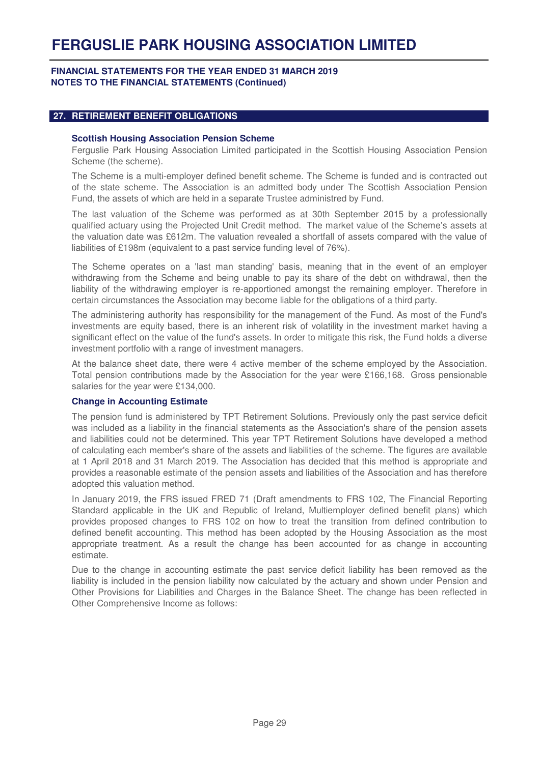#### **FINANCIAL STATEMENTS FOR THE YEAR ENDED 31 MARCH 2019 NOTES TO THE FINANCIAL STATEMENTS (Continued)**

#### **27. RETIREMENT BENEFIT OBLIGATIONS**

#### **Scottish Housing Association Pension Scheme**

Ferguslie Park Housing Association Limited participated in the Scottish Housing Association Pension Scheme (the scheme).

The Scheme is a multi-employer defined benefit scheme. The Scheme is funded and is contracted out of the state scheme. The Association is an admitted body under The Scottish Association Pension Fund, the assets of which are held in a separate Trustee administred by Fund.

The last valuation of the Scheme was performed as at 30th September 2015 by a professionally qualified actuary using the Projected Unit Credit method. The market value of the Scheme's assets at the valuation date was £612m. The valuation revealed a shortfall of assets compared with the value of liabilities of £198m (equivalent to a past service funding level of 76%).

The Scheme operates on a 'last man standing' basis, meaning that in the event of an employer withdrawing from the Scheme and being unable to pay its share of the debt on withdrawal, then the liability of the withdrawing employer is re-apportioned amongst the remaining employer. Therefore in certain circumstances the Association may become liable for the obligations of a third party.

The administering authority has responsibility for the management of the Fund. As most of the Fund's investments are equity based, there is an inherent risk of volatility in the investment market having a significant effect on the value of the fund's assets. In order to mitigate this risk, the Fund holds a diverse investment portfolio with a range of investment managers.

At the balance sheet date, there were 4 active member of the scheme employed by the Association. Total pension contributions made by the Association for the year were £166,168. Gross pensionable salaries for the year were £134,000.

#### **Change in Accounting Estimate**

The pension fund is administered by TPT Retirement Solutions. Previously only the past service deficit was included as a liability in the financial statements as the Association's share of the pension assets and liabilities could not be determined. This year TPT Retirement Solutions have developed a method of calculating each member's share of the assets and liabilities of the scheme. The figures are available at 1 April 2018 and 31 March 2019. The Association has decided that this method is appropriate and provides a reasonable estimate of the pension assets and liabilities of the Association and has therefore adopted this valuation method.

In January 2019, the FRS issued FRED 71 (Draft amendments to FRS 102, The Financial Reporting Standard applicable in the UK and Republic of Ireland, Multiemployer defined benefit plans) which provides proposed changes to FRS 102 on how to treat the transition from defined contribution to defined benefit accounting. This method has been adopted by the Housing Association as the most appropriate treatment. As a result the change has been accounted for as change in accounting estimate.

Due to the change in accounting estimate the past service deficit liability has been removed as the liability is included in the pension liability now calculated by the actuary and shown under Pension and Other Provisions for Liabilities and Charges in the Balance Sheet. The change has been reflected in Other Comprehensive Income as follows: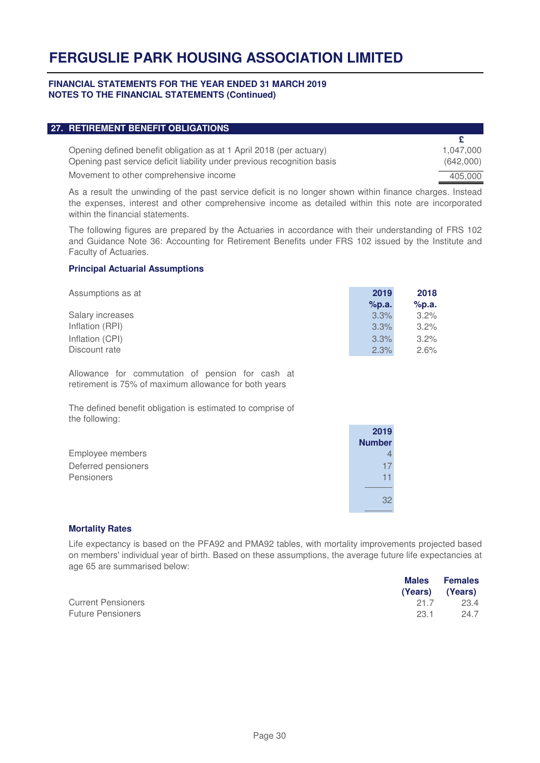#### **FINANCIAL STATEMENTS FOR THE YEAR ENDED 31 MARCH 2019 NOTES TO THE FINANCIAL STATEMENTS (Continued)**

| 27. RETIREMENT BENEFIT OBLIGATIONS                                      |           |
|-------------------------------------------------------------------------|-----------|
|                                                                         |           |
| Opening defined benefit obligation as at 1 April 2018 (per actuary)     | 1.047.000 |
| Opening past service deficit liability under previous recognition basis | (642,000) |
| Movement to other comprehensive income                                  | 405,000   |
|                                                                         |           |

As a result the unwinding of the past service deficit is no longer shown within finance charges. Instead the expenses, interest and other comprehensive income as detailed within this note are incorporated within the financial statements.

The following figures are prepared by the Actuaries in accordance with their understanding of FRS 102 and Guidance Note 36: Accounting for Retirement Benefits under FRS 102 issued by the Institute and Faculty of Actuaries.

#### **Principal Actuarial Assumptions**

| Assumptions as at | 2019  | 2018    |  |
|-------------------|-------|---------|--|
|                   | %p.a. | %p.a.   |  |
| Salary increases  | 3.3%  | $3.2\%$ |  |
| Inflation (RPI)   | 3.3%  | $3.2\%$ |  |
| Inflation (CPI)   | 3.3%  | $3.2\%$ |  |
| Discount rate     | 2.3%  | 2.6%    |  |

Allowance for commutation of pension for cash at retirement is 75% of maximum allowance for both years

The defined benefit obligation is estimated to comprise of the following:

|                     | 2019<br><b>Number</b> |
|---------------------|-----------------------|
| Employee members    |                       |
| Deferred pensioners |                       |
| Pensioners          |                       |
|                     |                       |
|                     | 32                    |
|                     |                       |

#### **Mortality Rates**

Life expectancy is based on the PFA92 and PMA92 tables, with mortality improvements projected based on members' individual year of birth. Based on these assumptions, the average future life expectancies at age 65 are summarised below:

|                           |      | Males Females   |  |
|---------------------------|------|-----------------|--|
|                           |      | (Years) (Years) |  |
| <b>Current Pensioners</b> | 21.7 | 23.4            |  |
| <b>Future Pensioners</b>  | 23.1 | 24.7            |  |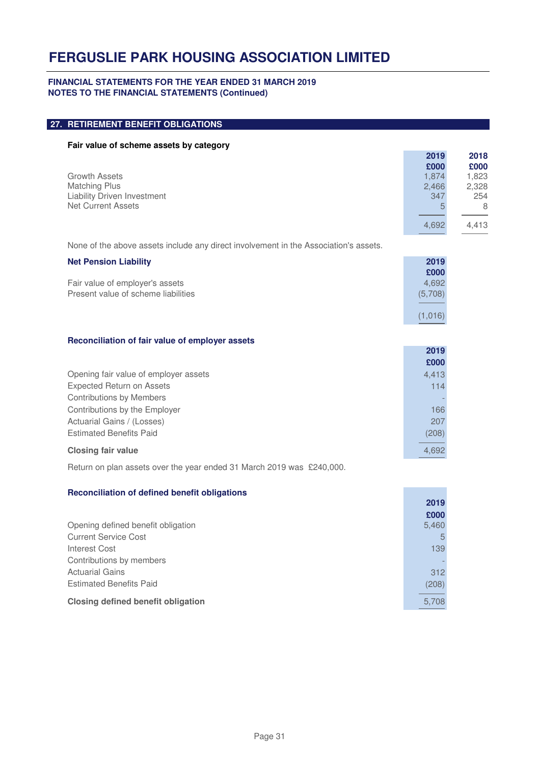#### **FINANCIAL STATEMENTS FOR THE YEAR ENDED 31 MARCH 2019 NOTES TO THE FINANCIAL STATEMENTS (Continued)**

| 27. RETIREMENT BENEFIT OBLIGATIONS                                                      |                       |                       |
|-----------------------------------------------------------------------------------------|-----------------------|-----------------------|
| Fair value of scheme assets by category                                                 |                       |                       |
| <b>Growth Assets</b>                                                                    | 2019<br>£000<br>1,874 | 2018<br>£000<br>1,823 |
| <b>Matching Plus</b><br><b>Liability Driven Investment</b><br><b>Net Current Assets</b> | 2,466<br>347<br>5     | 2,328<br>254<br>8     |
|                                                                                         | 4,692                 | 4,413                 |
| None of the above assets include any direct involvement in the Association's assets.    |                       |                       |
| <b>Net Pension Liability</b><br>Fair value of employer's assets                         | 2019<br>£000<br>4,692 |                       |
| Present value of scheme liabilities                                                     | (5,708)               |                       |
|                                                                                         | (1,016)               |                       |
| Reconciliation of fair value of employer assets                                         |                       |                       |
|                                                                                         | 2019<br>£000          |                       |
| Opening fair value of employer assets                                                   | 4,413                 |                       |
| <b>Expected Return on Assets</b><br><b>Contributions by Members</b>                     | 114                   |                       |
| Contributions by the Employer                                                           | 166                   |                       |
| Actuarial Gains / (Losses)<br><b>Estimated Benefits Paid</b>                            | 207                   |                       |
| <b>Closing fair value</b>                                                               | (208)<br>4,692        |                       |
| Return on plan assets over the year ended 31 March 2019 was £240,000.                   |                       |                       |
|                                                                                         |                       |                       |
| <b>Reconciliation of defined benefit obligations</b>                                    | 2019                  |                       |
| Opening defined benefit obligation                                                      | £000<br>5,460         |                       |
| <b>Current Service Cost</b>                                                             | 5                     |                       |
| <b>Interest Cost</b>                                                                    | 139                   |                       |
| Contributions by members<br><b>Actuarial Gains</b>                                      |                       |                       |
| <b>Estimated Benefits Paid</b>                                                          | 312<br>(208)          |                       |
| <b>Closing defined benefit obligation</b>                                               | 5,708                 |                       |